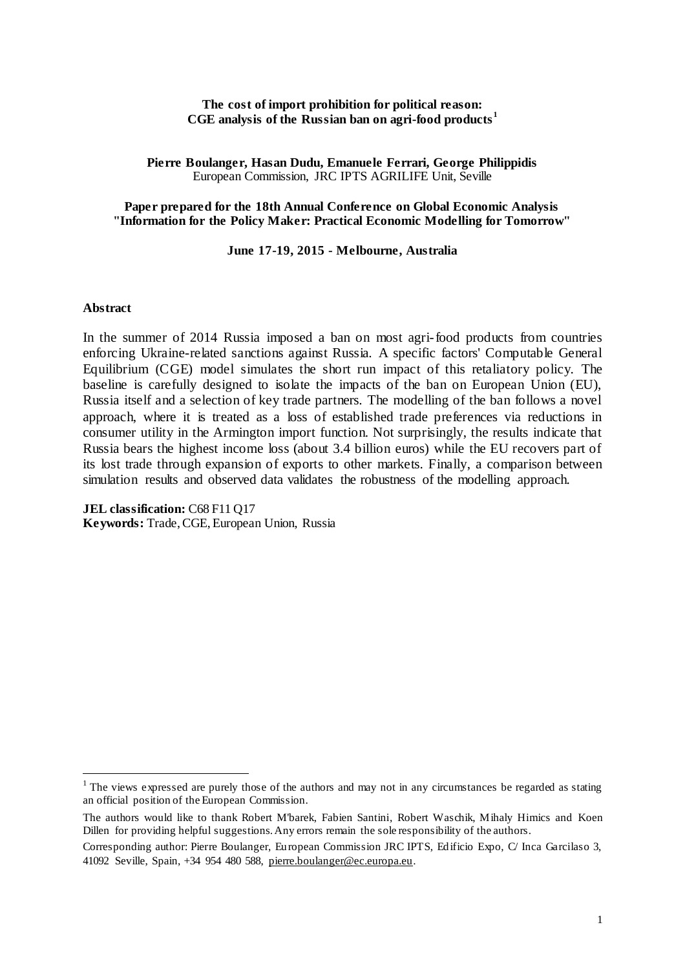### **The cost of import prohibition for political reason: CGE analysis of the Russian ban on agri-food products <sup>1</sup>**

**Pierre Boulanger, Hasan Dudu, Emanuele Ferrari, George Philippidis** European Commission, JRC IPTS AGRILIFE Unit, Seville

### **Paper prepared for the 18th Annual Conference on Global Economic Analysis "Information for the Policy Maker: Practical Economic Modelling for Tomorrow"**

### **June 17-19, 2015 - Melbourne, Australia**

### **Abstract**

 $\overline{\phantom{a}}$ 

In the summer of 2014 Russia imposed a ban on most agri-food products from countries enforcing Ukraine-related sanctions against Russia. A specific factors' Computable General Equilibrium (CGE) model simulates the short run impact of this retaliatory policy. The baseline is carefully designed to isolate the impacts of the ban on European Union (EU), Russia itself and a selection of key trade partners. The modelling of the ban follows a novel approach, where it is treated as a loss of established trade preferences via reductions in consumer utility in the Armington import function. Not surprisingly, the results indicate that Russia bears the highest income loss (about 3.4 billion euros) while the EU recovers part of its lost trade through expansion of exports to other markets. Finally, a comparison between simulation results and observed data validates the robustness of the modelling approach.

**JEL classification:** C68 F11 Q17 **Keywords:** Trade, CGE, European Union, Russia

<sup>&</sup>lt;sup>1</sup> The views expressed are purely those of the authors and may not in any circumstances be regarded as stating an official position of the European Commission.

The authors would like to thank Robert M'barek, Fabien Santini, Robert Waschik, Mihaly Himics and Koen Dillen for providing helpful suggestions. Any errors remain the sole responsibility of the authors.

Corresponding author: Pierre Boulanger, European Commission JRC IPTS, Edificio Expo, C/ Inca Garcilaso 3, 41092 Seville, Spain, +34 954 480 588, [pierre.boulanger@ec.europa.eu.](mailto:pierre.boulanger@ec.europa.eu)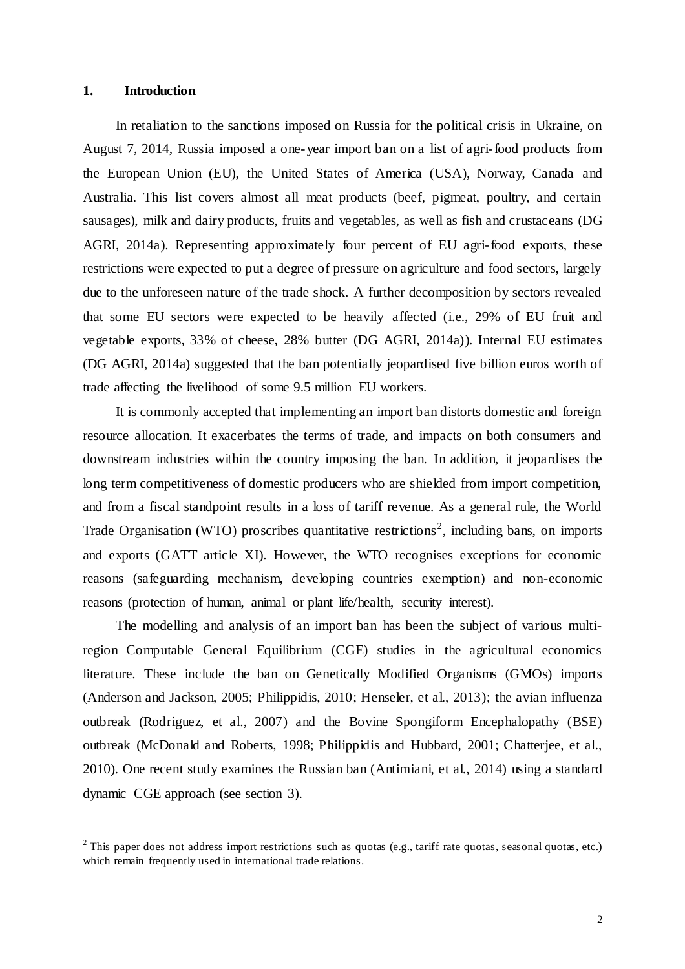### **1. Introduction**

 $\overline{\phantom{a}}$ 

In retaliation to the sanctions imposed on Russia for the political crisis in Ukraine, on August 7, 2014, Russia imposed a one-year import ban on a list of agri-food products from the European Union (EU), the United States of America (USA), Norway, Canada and Australia. This list covers almost all meat products (beef, pigmeat, poultry, and certain sausages), milk and dairy products, fruits and vegetables, as well as fish and crustaceans (DG AGRI, 2014a). Representing approximately four percent of EU agri-food exports, these restrictions were expected to put a degree of pressure on agriculture and food sectors, largely due to the unforeseen nature of the trade shock. A further decomposition by sectors revealed that some EU sectors were expected to be heavily affected (i.e., 29% of EU fruit and vegetable exports, 33% of cheese, 28% butter (DG AGRI, 2014a)). Internal EU estimates (DG AGRI, 2014a) suggested that the ban potentially jeopardised five billion euros worth of trade affecting the livelihood of some 9.5 million EU workers.

It is commonly accepted that implementing an import ban distorts domestic and foreign resource allocation. It exacerbates the terms of trade, and impacts on both consumers and downstream industries within the country imposing the ban. In addition, it jeopardises the long term competitiveness of domestic producers who are shielded from import competition, and from a fiscal standpoint results in a loss of tariff revenue. As a general rule, the World Trade Organisation (WTO) proscribes quantitative restrictions<sup>2</sup>, including bans, on imports and exports (GATT article XI). However, the WTO recognises exceptions for economic reasons (safeguarding mechanism, developing countries exemption) and non-economic reasons (protection of human, animal or plant life/health, security interest).

The modelling and analysis of an import ban has been the subject of various multiregion Computable General Equilibrium (CGE) studies in the agricultural economics literature. These include the ban on Genetically Modified Organisms (GMOs) imports (Anderson and Jackson, 2005; Philippidis, 2010; Henseler, et al., 2013); the avian influenza outbreak (Rodriguez, et al., 2007) and the Bovine Spongiform Encephalopathy (BSE) outbreak (McDonald and Roberts, 1998; Philippidis and Hubbard, 2001; Chatterjee, et al., 2010). One recent study examines the Russian ban (Antimiani, et al., 2014) using a standard dynamic CGE approach (see section 3).

 $2$  This paper does not address import restrictions such as quotas (e.g., tariff rate quotas, seasonal quotas, etc.) which remain frequently used in international trade relations.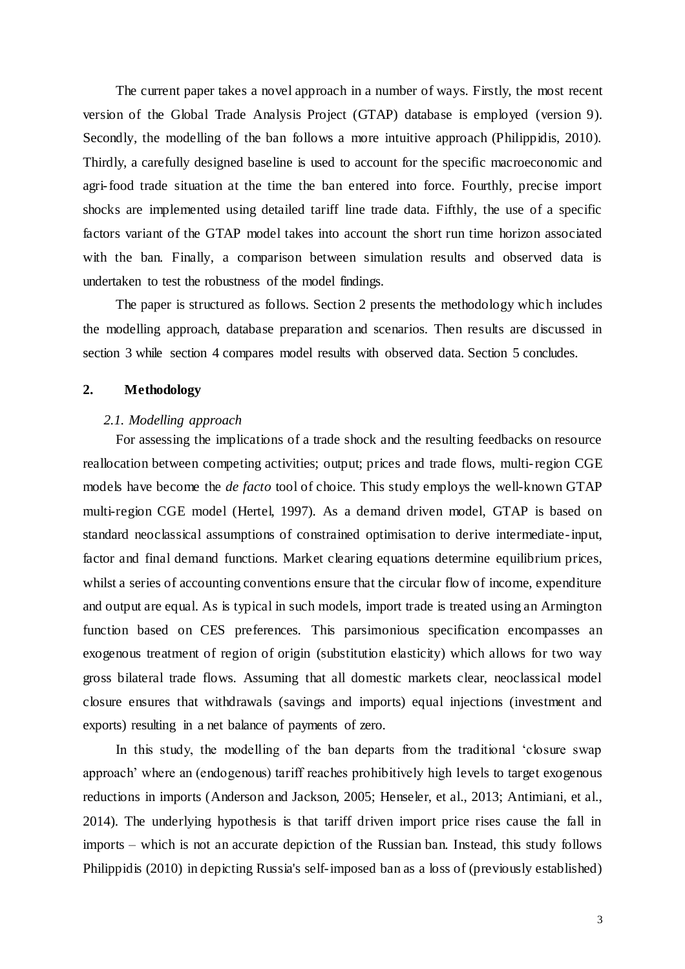The current paper takes a novel approach in a number of ways. Firstly, the most recent version of the Global Trade Analysis Project (GTAP) database is employed (version 9). Secondly, the modelling of the ban follows a more intuitive approach (Philippidis, 2010). Thirdly, a carefully designed baseline is used to account for the specific macroeconomic and agri-food trade situation at the time the ban entered into force. Fourthly, precise import shocks are implemented using detailed tariff line trade data. Fifthly, the use of a specific factors variant of the GTAP model takes into account the short run time horizon associated with the ban. Finally, a comparison between simulation results and observed data is undertaken to test the robustness of the model findings.

The paper is structured as follows. Section 2 presents the methodology which includes the modelling approach, database preparation and scenarios. Then results are discussed in section 3 while section 4 compares model results with observed data. Section 5 concludes.

## **2. Methodology**

#### *2.1. Modelling approach*

For assessing the implications of a trade shock and the resulting feedbacks on resource reallocation between competing activities; output; prices and trade flows, multi-region CGE models have become the *de facto* tool of choice. This study employs the well-known GTAP multi-region CGE model (Hertel, 1997). As a demand driven model, GTAP is based on standard neoclassical assumptions of constrained optimisation to derive intermediate-input, factor and final demand functions. Market clearing equations determine equilibrium prices, whilst a series of accounting conventions ensure that the circular flow of income, expenditure and output are equal. As is typical in such models, import trade is treated using an Armington function based on CES preferences. This parsimonious specification encompasses an exogenous treatment of region of origin (substitution elasticity) which allows for two way gross bilateral trade flows. Assuming that all domestic markets clear, neoclassical model closure ensures that withdrawals (savings and imports) equal injections (investment and exports) resulting in a net balance of payments of zero.

In this study, the modelling of the ban departs from the traditional 'closure swap approach' where an (endogenous) tariff reaches prohibitively high levels to target exogenous reductions in imports (Anderson and Jackson, 2005; Henseler, et al., 2013; Antimiani, et al., 2014). The underlying hypothesis is that tariff driven import price rises cause the fall in imports – which is not an accurate depiction of the Russian ban. Instead, this study follows Philippidis (2010) in depicting Russia's self-imposed ban as a loss of (previously established)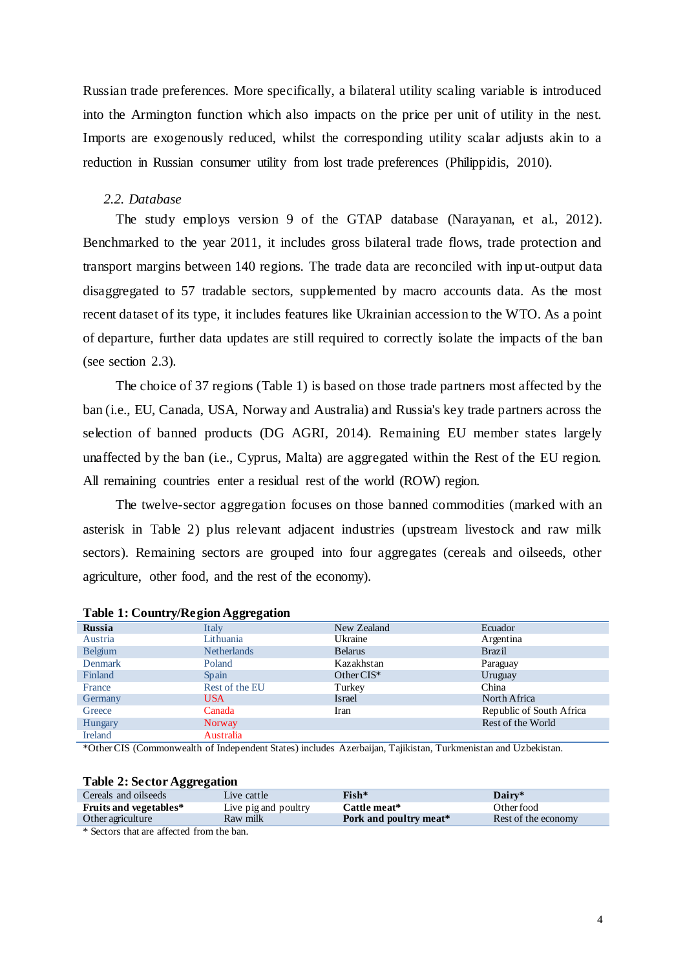Russian trade preferences. More specifically, a bilateral utility scaling variable is introduced into the Armington function which also impacts on the price per unit of utility in the nest. Imports are exogenously reduced, whilst the corresponding utility scalar adjusts akin to a reduction in Russian consumer utility from lost trade preferences (Philippidis, 2010).

### *2.2. Database*

The study employs version 9 of the GTAP database (Narayanan, et al., 2012). Benchmarked to the year 2011, it includes gross bilateral trade flows, trade protection and transport margins between 140 regions. The trade data are reconciled with inp ut-output data disaggregated to 57 tradable sectors, supplemented by macro accounts data. As the most recent dataset of its type, it includes features like Ukrainian accession to the WTO. As a point of departure, further data updates are still required to correctly isolate the impacts of the ban (see section [2.3\)](#page-4-0).

The choice of 37 regions (Table 1) is based on those trade partners most affected by the ban (i.e., EU, Canada, USA, Norway and Australia) and Russia's key trade partners across the selection of banned products (DG AGRI, 2014). Remaining EU member states largely unaffected by the ban (i.e., Cyprus, Malta) are aggregated within the Rest of the EU region. All remaining countries enter a residual rest of the world (ROW) region.

The twelve-sector aggregation focuses on those banned commodities (marked with an asterisk in Table 2) plus relevant adjacent industries (upstream livestock and raw milk sectors). Remaining sectors are grouped into four aggregates (cereals and oilseeds, other agriculture, other food, and the rest of the economy).

| <b>Russia</b>  | Italy              | New Zealand    | Ecuador                  |
|----------------|--------------------|----------------|--------------------------|
| Austria        | Lithuania          | Ukraine        | Argentina                |
| <b>Belgium</b> | <b>Netherlands</b> | <b>Belarus</b> | <b>Brazil</b>            |
| <b>Denmark</b> | Poland             | Kazakhstan     | Paraguay                 |
| Finland        | Spain              | Other $CIS^*$  | Uruguay                  |
| France         | Rest of the EU     | Turkey         | China                    |
| Germany        | <b>USA</b>         | Israel         | North Africa             |
| Greece         | Canada             | Iran           | Republic of South Africa |
| <b>Hungary</b> | Norway             |                | Rest of the World        |
| <b>Ireland</b> | Australia          |                |                          |

### **Table 1: Country/Region Aggregation**

\*Other CIS (Commonwealth of Independent States) includes Azerbaijan, Tajikistan, Turkmenistan and Uzbekistan.

#### **Table 2: Sector Aggregation**

| Cereals and oilseeds          | Live cattle          | Fish*                  | Dairy*              |
|-------------------------------|----------------------|------------------------|---------------------|
| <b>Fruits and vegetables*</b> | Live pig and poultry | Cattle meat*           | Other food          |
| Other agriculture             | Raw milk             | Pork and poultry meat* | Rest of the economy |
|                               |                      |                        |                     |

\* Sectors that are affected from the ban.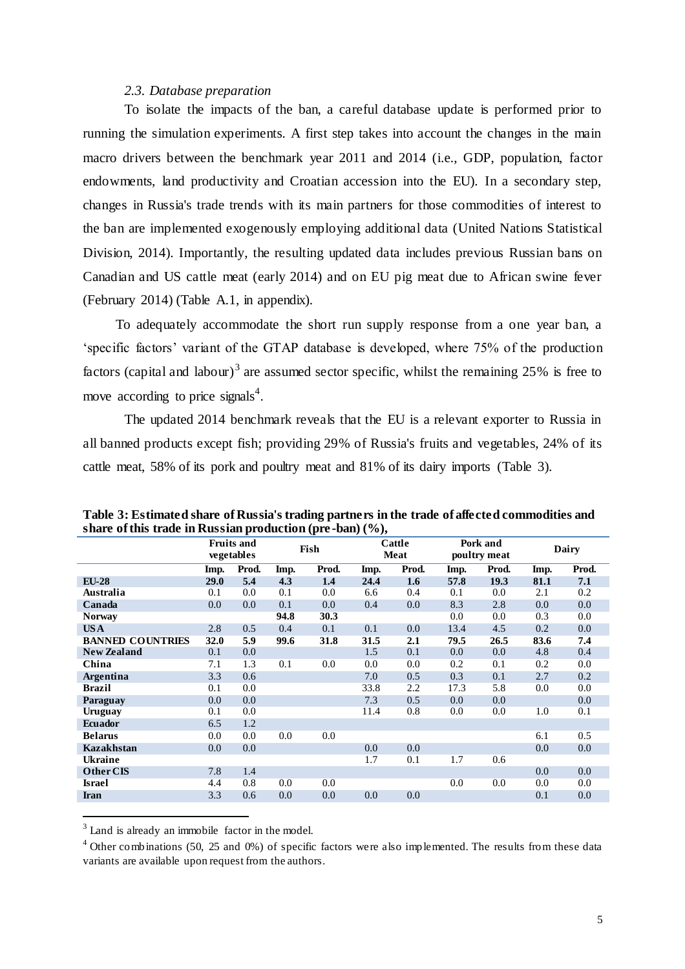## *2.3. Database preparation*

<span id="page-4-0"></span>To isolate the impacts of the ban, a careful database update is performed prior to running the simulation experiments. A first step takes into account the changes in the main macro drivers between the benchmark year 2011 and 2014 (i.e., GDP, population, factor endowments, land productivity and Croatian accession into the EU). In a secondary step, changes in Russia's trade trends with its main partners for those commodities of interest to the ban are implemented exogenously employing additional data (United Nations Statistical Division, 2014). Importantly, the resulting updated data includes previous Russian bans on Canadian and US cattle meat (early 2014) and on EU pig meat due to African swine fever (February 2014) [\(Table A.1,](#page-21-0) in appendix).

To adequately accommodate the short run supply response from a one year ban, a 'specific factors' variant of the GTAP database is developed, where 75% of the production factors (capital and labour)<sup>3</sup> are assumed sector specific, whilst the remaining 25% is free to move according to price signals<sup>4</sup>.

The updated 2014 benchmark reveals that the EU is a relevant exporter to Russia in all banned products except fish; providing 29% of Russia's fruits and vegetables, 24% of its cattle meat, 58% of its pork and poultry meat and 81% of its dairy imports [\(Table 3\)](#page-4-1).

| $\beta$ and $\beta$ and $\alpha$ and $\alpha$ is a substant production (problem) (70), |             |                                 |      |                        |      |         |                          |         |         |       |
|----------------------------------------------------------------------------------------|-------------|---------------------------------|------|------------------------|------|---------|--------------------------|---------|---------|-------|
|                                                                                        |             | <b>Fruits and</b><br>vegetables |      | Cattle<br>Fish<br>Meat |      |         | Pork and<br>poultry meat |         | Dairy   |       |
|                                                                                        | Imp.        | Prod.                           | Imp. | Prod.                  | Imp. | Prod.   | Imp.                     | Prod.   | Imp.    | Prod. |
| $EU-28$                                                                                | <b>29.0</b> | 5.4                             | 4.3  | 1.4                    | 24.4 | 1.6     | 57.8                     | 19.3    | 81.1    | 7.1   |
| Australia                                                                              | 0.1         | 0.0                             | 0.1  | $0.0\,$                | 6.6  | 0.4     | 0.1                      | $0.0\,$ | 2.1     | 0.2   |
| Canada                                                                                 | 0.0         | 0.0                             | 0.1  | $0.0\,$                | 0.4  | 0.0     | 8.3                      | 2.8     | 0.0     | 0.0   |
| <b>Norway</b>                                                                          |             |                                 | 94.8 | 30.3                   |      |         | $0.0\,$                  | $0.0\,$ | 0.3     | 0.0   |
| US A                                                                                   | 2.8         | 0.5                             | 0.4  | 0.1                    | 0.1  | 0.0     | 13.4                     | 4.5     | 0.2     | 0.0   |
| <b>BANNED COUNTRIES</b>                                                                | 32.0        | 5.9                             | 99.6 | 31.8                   | 31.5 | 2.1     | 79.5                     | 26.5    | 83.6    | 7.4   |
| <b>New Zealand</b>                                                                     | 0.1         | 0.0                             |      |                        | 1.5  | 0.1     | $0.0\,$                  | 0.0     | 4.8     | 0.4   |
| China                                                                                  | 7.1         | 1.3                             | 0.1  | $0.0\,$                | 0.0  | $0.0\,$ | 0.2                      | 0.1     | 0.2     | 0.0   |
| <b>Argentina</b>                                                                       | 3.3         | 0.6                             |      |                        | 7.0  | 0.5     | 0.3                      | 0.1     | 2.7     | 0.2   |
| Brazil                                                                                 | 0.1         | 0.0                             |      |                        | 33.8 | 2.2     | 17.3                     | 5.8     | 0.0     | 0.0   |
| Paraguay                                                                               | 0.0         | 0.0                             |      |                        | 7.3  | 0.5     | $0.0\,$                  | $0.0\,$ |         | 0.0   |
| Uruguay                                                                                | 0.1         | 0.0                             |      |                        | 11.4 | 0.8     | $0.0\,$                  | 0.0     | $1.0\,$ | 0.1   |
| <b>Ecuador</b>                                                                         | 6.5         | 1.2                             |      |                        |      |         |                          |         |         |       |
| <b>Belarus</b>                                                                         | 0.0         | 0.0                             | 0.0  | $0.0\,$                |      |         |                          |         | 6.1     | 0.5   |
| <b>Kazakhstan</b>                                                                      | 0.0         | 0.0                             |      |                        | 0.0  | 0.0     |                          |         | 0.0     | 0.0   |
| Ukraine                                                                                |             |                                 |      |                        | 1.7  | 0.1     | 1.7                      | 0.6     |         |       |
| Other CIS                                                                              | 7.8         | 1.4                             |      |                        |      |         |                          |         | 0.0     | 0.0   |
| <b>Israel</b>                                                                          | 4.4         | 0.8                             | 0.0  | 0.0                    |      |         | 0.0                      | 0.0     | 0.0     | 0.0   |
| Iran                                                                                   | 3.3         | 0.6                             | 0.0  | 0.0                    | 0.0  | 0.0     |                          |         | 0.1     | 0.0   |
|                                                                                        |             |                                 |      |                        |      |         |                          |         |         |       |

<span id="page-4-1"></span>**Table 3: Estimated share of Russia's trading partners in the trade of affected commodities and share of this trade in Russian production (pre -ban) (%),** 

<sup>3</sup> Land is already an immobile factor in the model.

 $\overline{\phantom{a}}$ 

<sup>4</sup> Other combinations (50, 25 and 0%) of specific factors were also implemented. The results from these data variants are available upon request from the authors.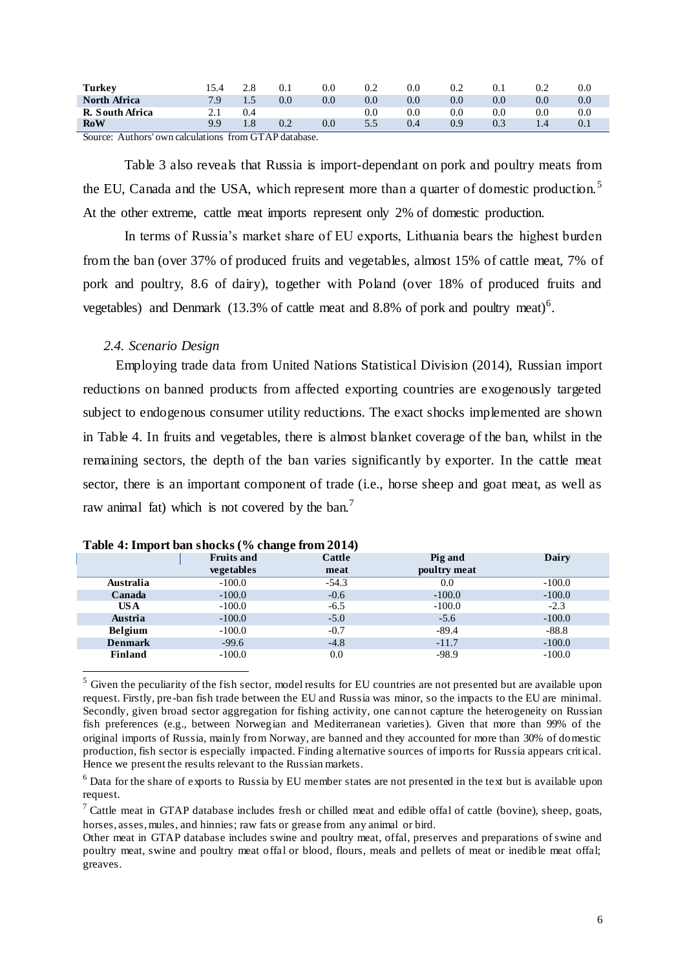| <b>Turkey</b>       | 5.4ء                     | 2.8 | 0.1                                       | $\rm 0.0$ | 0.2     | $0.0\,$ | 0.2     | 0.1     | 0.2     | 0.0 |
|---------------------|--------------------------|-----|-------------------------------------------|-----------|---------|---------|---------|---------|---------|-----|
| <b>North Africa</b> | 7.9                      | 1.5 | $0.0\,$                                   | 0.0       | 0.0     | 0.0     | $0.0\,$ | 0.0     | $0.0\,$ | 0.0 |
| R. South Africa     | $\overline{\phantom{a}}$ | 0.4 |                                           |           | $0.0\,$ | 0.0     | $0.0\,$ | $0.0\,$ | $0.0\,$ | 0.0 |
| <b>RoW</b>          | oο                       | 1.8 | 0.2                                       | $0.0\,$   | 5.5     | 0.4     | 0.9     | 0.3     | 1.4     | 0.1 |
| $\sim$<br>. .       | $\sim$<br>. .            |     | $\sim$ $\sim$ $\sim$ $\sim$ $\sim$ $\sim$ |           |         |         |         |         |         |     |

Source: Authors' own calculations from GTAP database.

[Table 3](#page-4-1) also reveals that Russia is import-dependant on pork and poultry meats from the EU, Canada and the USA, which represent more than a quarter of domestic production.<sup>5</sup> At the other extreme, cattle meat imports represent only 2% of domestic production.

In terms of Russia's market share of EU exports, Lithuania bears the highest burden from the ban (over 37% of produced fruits and vegetables, almost 15% of cattle meat, 7% of pork and poultry, 8.6 of dairy), together with Poland (over 18% of produced fruits and vegetables) and Denmark  $(13.3\% \text{ of cattle meat and } 8.8\% \text{ of port and pourtry meat})^6$ .

## *2.4. Scenario Design*

 $\overline{a}$ 

Employing trade data from United Nations Statistical Division (2014), Russian import reductions on banned products from affected exporting countries are exogenously targeted subject to endogenous consumer utility reductions. The exact shocks implemented are shown in Table 4. In fruits and vegetables, there is almost blanket coverage of the ban, whilst in the remaining sectors, the depth of the ban varies significantly by exporter. In the cattle meat sector, there is an important component of trade (i.e., horse sheep and goat meat, as well as raw animal fat) which is not covered by the ban.<sup>7</sup>

| <b>Table 4. Import ban Shocks</b> (70 Change Hom 2014) |                   |         |              |          |  |  |  |  |  |
|--------------------------------------------------------|-------------------|---------|--------------|----------|--|--|--|--|--|
|                                                        | <b>Fruits and</b> | Cattle  | Pig and      | Dairy    |  |  |  |  |  |
|                                                        | <b>vegetables</b> | meat    | poultry meat |          |  |  |  |  |  |
| Australia                                              | $-100.0$          | $-54.3$ | 0.0          | $-100.0$ |  |  |  |  |  |
| Canada                                                 | $-100.0$          | $-0.6$  | $-100.0$     | $-100.0$ |  |  |  |  |  |
| US A                                                   | $-100.0$          | $-6.5$  | $-100.0$     | $-2.3$   |  |  |  |  |  |
| Austria                                                | $-100.0$          | $-5.0$  | $-5.6$       | $-100.0$ |  |  |  |  |  |
| <b>Belgium</b>                                         | $-100.0$          | $-0.7$  | $-89.4$      | $-88.8$  |  |  |  |  |  |
| <b>Denmark</b>                                         | $-99.6$           | $-4.8$  | $-11.7$      | $-100.0$ |  |  |  |  |  |
| Finland                                                | $-100.0$          | 0.0     | $-98.9$      | $-100.0$ |  |  |  |  |  |

<sup>&</sup>lt;sup>5</sup> Given the peculiarity of the fish sector, model results for EU countries are not presented but are available upon request. Firstly, pre -ban fish trade between the EU and Russia was minor, so the impacts to the EU are minimal. Secondly, given broad sector aggregation for fishing activity, one cannot capture the heterogeneity on Russian fish preferences (e.g., between Norwegian and Mediterranean varieties). Given that more than 99% of the original imports of Russia, mainly from Norway, are banned and they accounted for more than 30% of domestic production, fish sector is especially impacted. Finding alternative sources of imports for Russia appears critical. Hence we present the results relevant to the Russian markets.

<sup>6</sup> Data for the share of exports to Russia by EU member states are not presented in the text but is available upon request.

 $7$  Cattle meat in GTAP database includes fresh or chilled meat and edible offal of cattle (bovine), sheep, goats, horses, asses, mules, and hinnies; raw fats or grease from any animal or bird.

Other meat in GTAP database includes swine and poultry meat, offal, preserves and preparations of swine and poultry meat, swine and poultry meat offal or blood, flours, meals and pellets of meat or inedible meat offal; greaves.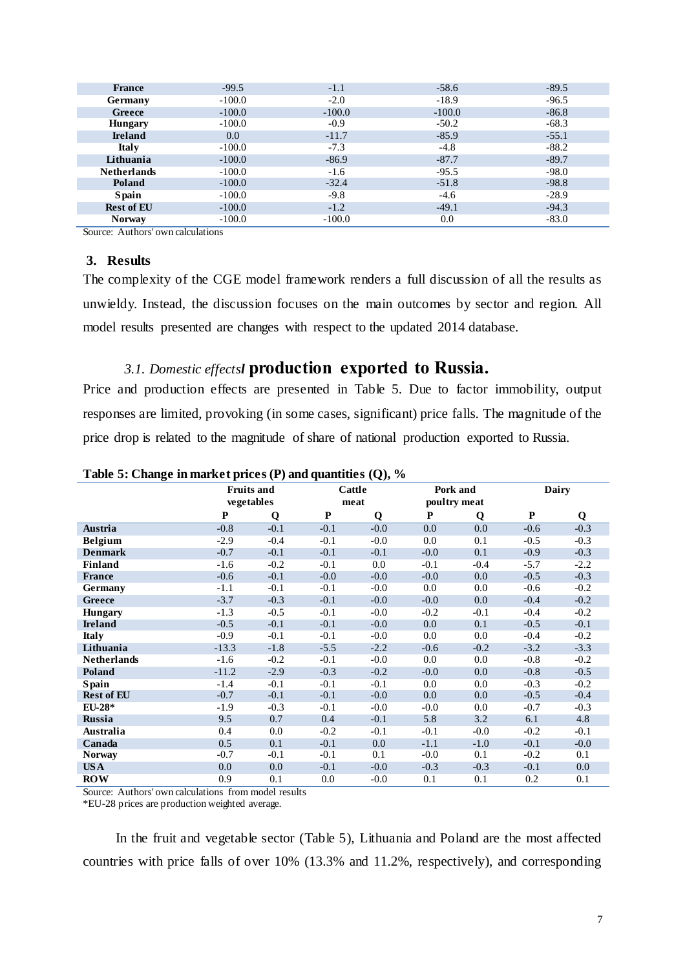| <b>France</b>      | $-99.5$  | $-1.1$   | $-58.6$  | $-89.5$ |
|--------------------|----------|----------|----------|---------|
| Germany            | $-100.0$ | $-2.0$   | $-18.9$  | $-96.5$ |
| Greece             | $-100.0$ | $-100.0$ | $-100.0$ | $-86.8$ |
| <b>Hungary</b>     | $-100.0$ | $-0.9$   | $-50.2$  | $-68.3$ |
| <b>Ireland</b>     | 0.0      | $-11.7$  | $-85.9$  | $-55.1$ |
| <b>Italy</b>       | $-100.0$ | $-7.3$   | $-4.8$   | $-88.2$ |
| Lithuania          | $-100.0$ | $-86.9$  | $-87.7$  | $-89.7$ |
| <b>Netherlands</b> | $-100.0$ | $-1.6$   | $-95.5$  | $-98.0$ |
| Poland             | $-100.0$ | $-32.4$  | $-51.8$  | $-98.8$ |
| <b>Spain</b>       | $-100.0$ | $-9.8$   | $-4.6$   | $-28.9$ |
| <b>Rest of EU</b>  | $-100.0$ | $-1.2$   | $-49.1$  | $-94.3$ |
| <b>Norway</b>      | $-100.0$ | $-100.0$ | 0.0      | $-83.0$ |

Source: Authors' own calculations

## **3. Results**

The complexity of the CGE model framework renders a full discussion of all the results as unwieldy. Instead, the discussion focuses on the main outcomes by sector and region. All model results presented are changes with respect to the updated 2014 database.

## <span id="page-6-0"></span>*3.1. Domestic effectsl* **[production exported to Russia.](#page-6-0)**

Price and production effects are presented in Table 5. Due to factor immobility, output responses are limited, provoking (in some cases, significant) price falls. The magnitude of the price drop is related to the magnitude of share of national production exported to Russia.

|                    | <b>Fruits and</b><br>vegetables |        | Cattle    |        | Pork and<br>poultry meat |        | Dairy  |         |
|--------------------|---------------------------------|--------|-----------|--------|--------------------------|--------|--------|---------|
|                    |                                 |        |           | meat   |                          |        |        |         |
|                    | ${\bf P}$                       | Q      | ${\bf P}$ | Q      | P                        | Q      | P      | Q       |
| Austria            | $-0.8$                          | $-0.1$ | $-0.1$    | $-0.0$ | 0.0                      | 0.0    | $-0.6$ | $-0.3$  |
| <b>Belgium</b>     | $-2.9$                          | $-0.4$ | $-0.1$    | $-0.0$ | 0.0                      | 0.1    | $-0.5$ | $-0.3$  |
| <b>Denmark</b>     | $-0.7$                          | $-0.1$ | $-0.1$    | $-0.1$ | $-0.0$                   | 0.1    | $-0.9$ | $-0.3$  |
| Finland            | $-1.6$                          | $-0.2$ | $-0.1$    | 0.0    | $-0.1$                   | $-0.4$ | $-5.7$ | $-2.2$  |
| France             | $-0.6$                          | $-0.1$ | $-0.0$    | $-0.0$ | $-0.0$                   | 0.0    | $-0.5$ | $-0.3$  |
| Germany            | $-1.1$                          | $-0.1$ | $-0.1$    | $-0.0$ | 0.0                      | 0.0    | $-0.6$ | $-0.2$  |
| Greece             | $-3.7$                          | $-0.3$ | $-0.1$    | $-0.0$ | $-0.0$                   | 0.0    | $-0.4$ | $-0.2$  |
| <b>Hungary</b>     | $-1.3$                          | $-0.5$ | $-0.1$    | $-0.0$ | $-0.2$                   | $-0.1$ | $-0.4$ | $-0.2$  |
| <b>Ireland</b>     | $-0.5$                          | $-0.1$ | $-0.1$    | $-0.0$ | 0.0                      | 0.1    | $-0.5$ | $-0.1$  |
| <b>Italy</b>       | $-0.9$                          | $-0.1$ | $-0.1$    | $-0.0$ | 0.0                      | 0.0    | $-0.4$ | $-0.2$  |
| Lithuania          | $-13.3$                         | $-1.8$ | $-5.5$    | $-2.2$ | $-0.6$                   | $-0.2$ | $-3.2$ | $-3.3$  |
| <b>Netherlands</b> | $-1.6$                          | $-0.2$ | $-0.1$    | $-0.0$ | 0.0                      | 0.0    | $-0.8$ | $-0.2$  |
| Poland             | $-11.2$                         | $-2.9$ | $-0.3$    | $-0.2$ | $-0.0$                   | 0.0    | $-0.8$ | $-0.5$  |
| <b>Spain</b>       | $-1.4$                          | $-0.1$ | $-0.1$    | $-0.1$ | 0.0                      | 0.0    | $-0.3$ | $-0.2$  |
| <b>Rest of EU</b>  | $-0.7$                          | $-0.1$ | $-0.1$    | $-0.0$ | 0.0                      | 0.0    | $-0.5$ | $-0.4$  |
| $EU-28*$           | $-1.9$                          | $-0.3$ | $-0.1$    | $-0.0$ | $-0.0$                   | 0.0    | $-0.7$ | $-0.3$  |
| Russia             | 9.5                             | 0.7    | 0.4       | $-0.1$ | 5.8                      | 3.2    | 6.1    | 4.8     |
| Australia          | 0.4                             | 0.0    | $-0.2$    | $-0.1$ | $-0.1$                   | $-0.0$ | $-0.2$ | $-0.1$  |
| Canada             | 0.5                             | 0.1    | $-0.1$    | 0.0    | $-1.1$                   | $-1.0$ | $-0.1$ | $-0.0$  |
| <b>Norway</b>      | $-0.7$                          | $-0.1$ | $-0.1$    | 0.1    | $-0.0$                   | 0.1    | $-0.2$ | 0.1     |
| <b>USA</b>         | 0.0                             | 0.0    | $-0.1$    | $-0.0$ | $-0.3$                   | $-0.3$ | $-0.1$ | $0.0\,$ |
| <b>ROW</b>         | 0.9                             | 0.1    | 0.0       | $-0.0$ | 0.1                      | 0.1    | 0.2    | 0.1     |

**Table 5: Change in market prices (P) and quantities (Q), %**

Source: Authors' own calculations from model results

\*EU-28 prices are production weighted average.

In the fruit and vegetable sector (Table 5), Lithuania and Poland are the most affected countries with price falls of over 10% (13.3% and 11.2%, respectively), and corresponding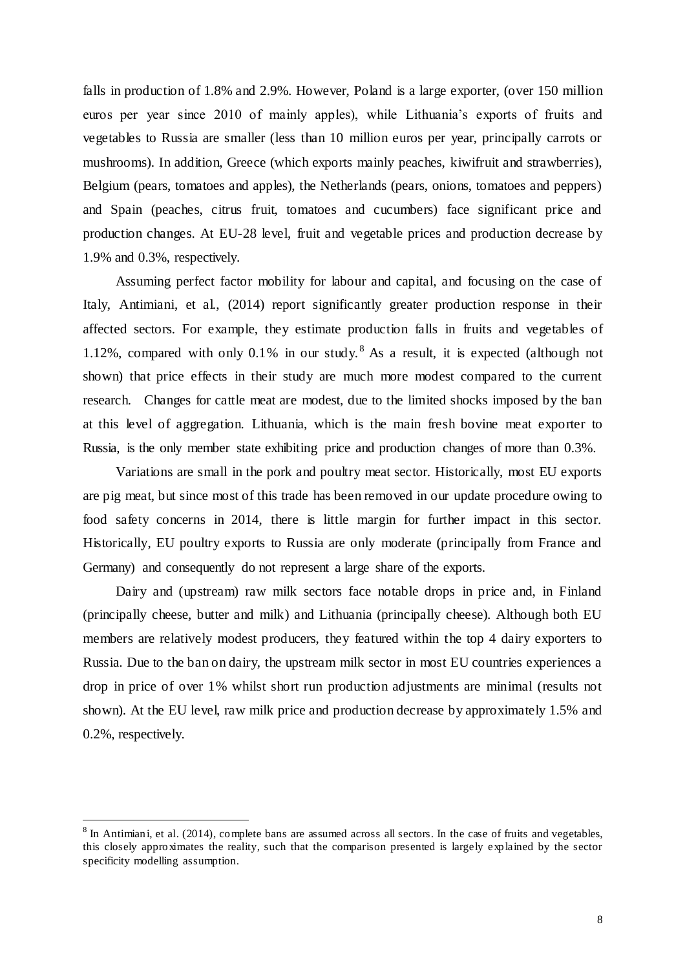falls in production of 1.8% and 2.9%. However, Poland is a large exporter, (over 150 million euros per year since 2010 of mainly apples), while Lithuania's exports of fruits and vegetables to Russia are smaller (less than 10 million euros per year, principally carrots or mushrooms). In addition, Greece (which exports mainly peaches, kiwifruit and strawberries), Belgium (pears, tomatoes and apples), the Netherlands (pears, onions, tomatoes and peppers) and Spain (peaches, citrus fruit, tomatoes and cucumbers) face significant price and production changes. At EU-28 level, fruit and vegetable prices and production decrease by 1.9% and 0.3%, respectively.

Assuming perfect factor mobility for labour and capital, and focusing on the case of Italy, Antimiani, et al., (2014) report significantly greater production response in their affected sectors. For example, they estimate production falls in fruits and vegetables of 1.12%, compared with only 0.1% in our study. As a result, it is expected (although not shown) that price effects in their study are much more modest compared to the current research. Changes for cattle meat are modest, due to the limited shocks imposed by the ban at this level of aggregation. Lithuania, which is the main fresh bovine meat exporter to Russia, is the only member state exhibiting price and production changes of more than 0.3%.

Variations are small in the pork and poultry meat sector. Historically, most EU exports are pig meat, but since most of this trade has been removed in our update procedure owing to food safety concerns in 2014, there is little margin for further impact in this sector. Historically, EU poultry exports to Russia are only moderate (principally from France and Germany) and consequently do not represent a large share of the exports.

Dairy and (upstream) raw milk sectors face notable drops in price and, in Finland (principally cheese, butter and milk) and Lithuania (principally cheese). Although both EU members are relatively modest producers, they featured within the top 4 dairy exporters to Russia. Due to the ban on dairy, the upstream milk sector in most EU countries experiences a drop in price of over 1% whilst short run production adjustments are minimal (results not shown). At the EU level, raw milk price and production decrease by approximately 1.5% and 0.2%, respectively.

 $\overline{\phantom{a}}$ 

 $8 \text{ In Antimiani, et al. (2014), complete bans are assumed across all sectors. In the case of fruits and vegetables, }$ this closely approximates the reality, such that the comparison presented is largely explained by the sector specificity modelling assumption.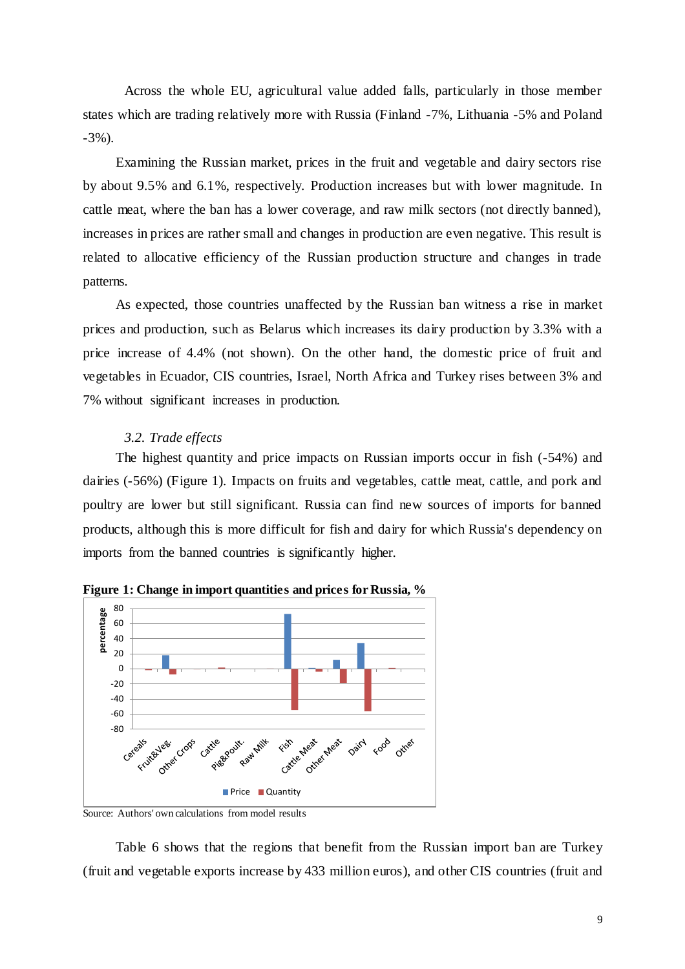Across the whole EU, agricultural value added falls, particularly in those member states which are trading relatively more with Russia (Finland -7%, Lithuania -5% and Poland -3%).

Examining the Russian market, prices in the fruit and vegetable and dairy sectors rise by about 9.5% and 6.1%, respectively. Production increases but with lower magnitude. In cattle meat, where the ban has a lower coverage, and raw milk sectors (not directly banned), increases in prices are rather small and changes in production are even negative. This result is related to allocative efficiency of the Russian production structure and changes in trade patterns.

As expected, those countries unaffected by the Russian ban witness a rise in market prices and production, such as Belarus which increases its dairy production by 3.3% with a price increase of 4.4% (not shown). On the other hand, the domestic price of fruit and vegetables in Ecuador, CIS countries, Israel, North Africa and Turkey rises between 3% and 7% without significant increases in production.

## *3.2. Trade effects*

The highest quantity and price impacts on Russian imports occur in fish (-54%) and dairies (-56%) [\(Figure 1\)](#page-8-0). Impacts on fruits and vegetables, cattle meat, cattle, and pork and poultry are lower but still significant. Russia can find new sources of imports for banned products, although this is more difficult for fish and dairy for which Russia's dependency on imports from the banned countries is significantly higher.



<span id="page-8-0"></span>**Figure 1: Change in import quantities and prices for Russia, %**

### Source: Authors' own calculations from model results

Table 6 shows that the regions that benefit from the Russian import ban are Turkey (fruit and vegetable exports increase by 433 million euros), and other CIS countries (fruit and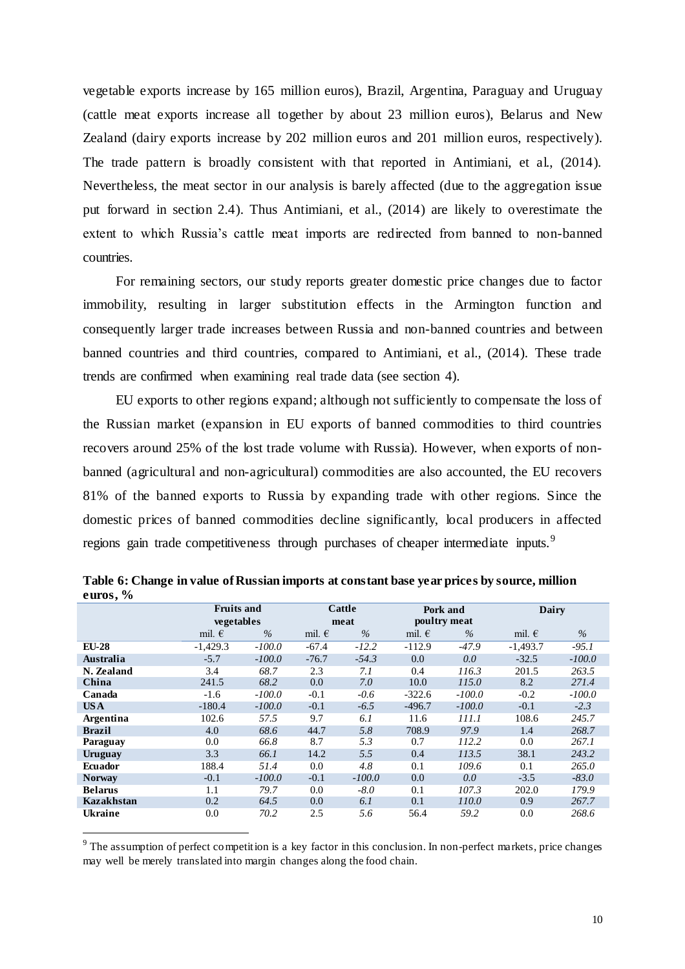vegetable exports increase by 165 million euros), Brazil, Argentina, Paraguay and Uruguay (cattle meat exports increase all together by about 23 million euros), Belarus and New Zealand (dairy exports increase by 202 million euros and 201 million euros, respectively). The trade pattern is broadly consistent with that reported in Antimiani, et al., (2014). Nevertheless, the meat sector in our analysis is barely affected (due to the aggregation issue put forward in section 2.4). Thus Antimiani, et al., (2014) are likely to overestimate the extent to which Russia's cattle meat imports are redirected from banned to non-banned countries.

For remaining sectors, our study reports greater domestic price changes due to factor immobility, resulting in larger substitution effects in the Armington function and consequently larger trade increases between Russia and non-banned countries and between banned countries and third countries, compared to Antimiani, et al., (2014). These trade trends are confirmed when examining real trade data (see section 4).

EU exports to other regions expand; although not sufficiently to compensate the loss of the Russian market (expansion in EU exports of banned commodities to third countries recovers around 25% of the lost trade volume with Russia). However, when exports of nonbanned (agricultural and non-agricultural) commodities are also accounted, the EU recovers 81% of the banned exports to Russia by expanding trade with other regions. Since the domestic prices of banned commodities decline significantly, local producers in affected regions gain trade competitiveness through purchases of cheaper intermediate inputs.<sup>9</sup>

|                 |          |                                 |               |                 |          | Dairy                    |          |  |  |
|-----------------|----------|---------------------------------|---------------|-----------------|----------|--------------------------|----------|--|--|
|                 |          |                                 |               |                 |          |                          |          |  |  |
| mil. $\epsilon$ | $\%$     | mil. $\epsilon$                 | $\frac{0}{0}$ | mil. $\epsilon$ | $\%$     | mil. $\epsilon$          | $\%$     |  |  |
| $-1,429.3$      | $-100.0$ | $-67.4$                         | $-12.2$       | $-112.9$        | $-47.9$  | $-1,493.7$               | $-95.1$  |  |  |
| $-5.7$          | $-100.0$ | $-76.7$                         | $-54.3$       | 0.0             | 0.0      | $-32.5$                  | $-100.0$ |  |  |
| 3.4             | 68.7     | 2.3                             | 7.1           | 0.4             | 116.3    | 201.5                    | 263.5    |  |  |
| 241.5           | 68.2     | 0.0                             | 7.0           | 10.0            | 115.0    | 8.2                      | 271.4    |  |  |
| $-1.6$          | $-100.0$ | $-0.1$                          | $-0.6$        | $-322.6$        | $-100.0$ | $-0.2$                   | $-100.0$ |  |  |
| $-180.4$        | $-100.0$ | $-0.1$                          | $-6.5$        | $-496.7$        | $-100.0$ | $-0.1$                   | $-2.3$   |  |  |
| 102.6           | 57.5     | 9.7                             | 6.1           | 11.6            | 111.1    | 108.6                    | 245.7    |  |  |
| 4.0             | 68.6     | 44.7                            | 5.8           | 708.9           | 97.9     | 1.4                      | 268.7    |  |  |
| 0.0             | 66.8     | 8.7                             | 5.3           | 0.7             | 112.2    | 0.0                      | 267.1    |  |  |
| 3.3             | 66.1     | 14.2                            | 5.5           | 0.4             | 113.5    | 38.1                     | 243.2    |  |  |
| 188.4           | 51.4     | 0.0                             | 4.8           | 0.1             | 109.6    | 0.1                      | 265.0    |  |  |
| $-0.1$          | $-100.0$ | $-0.1$                          | $-100.0$      | 0.0             | 0.0      | $-3.5$                   | $-83.0$  |  |  |
| 1.1             | 79.7     | 0.0                             | $-8.0$        | 0.1             | 107.3    | 202.0                    | 179.9    |  |  |
| 0.2             | 64.5     | 0.0                             | 6.1           | 0.1             | 110.0    | 0.9                      | 267.7    |  |  |
| 0.0             | 70.2     | 2.5                             | 5.6           | 56.4            | 59.2     | 0.0                      | 268.6    |  |  |
|                 |          | <b>Fruits and</b><br>vegetables |               | Cattle<br>meat  |          | Pork and<br>poultry meat |          |  |  |

**Table 6: Change in value of Russian imports at constant base year prices by source, million euros, %**

 $\overline{\phantom{a}}$ 

 $9$  The assumption of perfect competition is a key factor in this conclusion. In non-perfect markets, price changes may well be merely translated into margin changes along the food chain.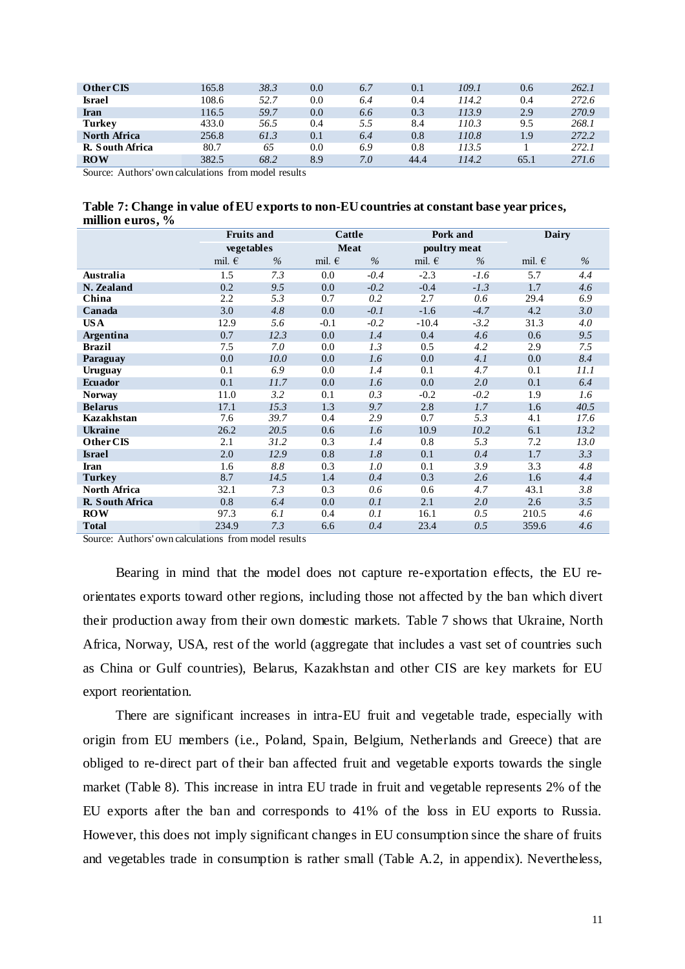| Other CIS          | 165.8                  | 38.3      | 0.0 | 6.7 | 0.1  | 109.1 | 0.6  | 262.1 |
|--------------------|------------------------|-----------|-----|-----|------|-------|------|-------|
| <b>Israel</b>      | 108.6                  | 52.7      | 0.0 | 6.4 | 0.4  | 114.2 | 0.4  | 272.6 |
| <b>Iran</b>        | 116.5                  | 59.7      | 0.0 | 6.6 | 0.3  | 113.9 | 2.9  | 270.9 |
| <b>Turkey</b>      | 433.0                  | 56.5      | 0.4 | 5.5 | 8.4  | 110.3 | 9.5  | 268.1 |
| North Africa       | 256.8                  | 61.3      | 0.1 | 6.4 | 0.8  | 110.8 | 1.9  | 272.2 |
| R. South Africa    | 80.7                   | 65        | 0.0 | 6.9 | 0.8  | 113.5 |      | 272.1 |
| <b>ROW</b><br>____ | 382.5<br>$\sim$ $\sim$ | 68.2<br>. | 8.9 | 7.0 | 44.4 | 114.2 | 65.1 | 271.6 |

Source: Authors' own calculations from model results

|                  |  | Table 7: Change in value of EU exports to non-EU countries at constant base year prices, |
|------------------|--|------------------------------------------------------------------------------------------|
| million euros, % |  |                                                                                          |

|                   | <b>Fruits and</b> |      | Cattle          |        | Pork and        |        | Dairy           |      |
|-------------------|-------------------|------|-----------------|--------|-----------------|--------|-----------------|------|
|                   | vegetables        |      | <b>Meat</b>     |        | poultry meat    |        |                 |      |
|                   | mil. $\epsilon$   | $\%$ | mil. $\epsilon$ | $\%$   | mil. $\epsilon$ | $\%$   | mil. $\epsilon$ | $\%$ |
| Australia         | 1.5               | 7.3  | $0.0\,$         | $-0.4$ | $-2.3$          | $-1.6$ | 5.7             | 4.4  |
| N. Zealand        | 0.2               | 9.5  | 0.0             | $-0.2$ | $-0.4$          | $-1.3$ | 1.7             | 4.6  |
| China             | 2.2               | 5.3  | 0.7             | 0.2    | 2.7             | 0.6    | 29.4            | 6.9  |
| Canada            | 3.0               | 4.8  | $0.0\,$         | $-0.1$ | $-1.6$          | $-4.7$ | 4.2             | 3.0  |
| US A              | 12.9              | 5.6  | $-0.1$          | $-0.2$ | $-10.4$         | $-3.2$ | 31.3            | 4.0  |
| Argentina         | 0.7               | 12.3 | 0.0             | 1.4    | 0.4             | 4.6    | 0.6             | 9.5  |
| <b>Brazil</b>     | 7.5               | 7.0  | $0.0\,$         | 1.3    | 0.5             | 4.2    | 2.9             | 7.5  |
| Paraguay          | 0.0               | 10.0 | 0.0             | 1.6    | 0.0             | 4.1    | 0.0             | 8.4  |
| Uruguay           | 0.1               | 6.9  | $0.0\,$         | 1.4    | 0.1             | 4.7    | 0.1             | 11.1 |
| <b>Ecuador</b>    | 0.1               | 11.7 | $0.0\,$         | 1.6    | 0.0             | 2.0    | 0.1             | 6.4  |
| <b>Norway</b>     | 11.0              | 3.2  | 0.1             | 0.3    | $-0.2$          | $-0.2$ | 1.9             | 1.6  |
| <b>Belarus</b>    | 17.1              | 15.3 | 1.3             | 9.7    | 2.8             | 1.7    | 1.6             | 40.5 |
| <b>Kazakhstan</b> | 7.6               | 39.7 | 0.4             | 2.9    | 0.7             | 5.3    | 4.1             | 17.6 |
| <b>Ukraine</b>    | 26.2              | 20.5 | 0.6             | 1.6    | 10.9            | 10.2   | 6.1             | 13.2 |
| Other CIS         | 2.1               | 31.2 | 0.3             | 1.4    | 0.8             | 5.3    | 7.2             | 13.0 |
| <b>Israel</b>     | 2.0               | 12.9 | 0.8             | 1.8    | 0.1             | 0.4    | 1.7             | 3.3  |
| Iran              | 1.6               | 8.8  | 0.3             | 1.0    | 0.1             | 3.9    | 3.3             | 4.8  |
| <b>Turkey</b>     | 8.7               | 14.5 | 1.4             | 0.4    | 0.3             | 2.6    | 1.6             | 4.4  |
| North Africa      | 32.1              | 7.3  | 0.3             | 0.6    | 0.6             | 4.7    | 43.1            | 3.8  |
| R. South Africa   | 0.8               | 6.4  | 0.0             | 0.1    | 2.1             | 2.0    | 2.6             | 3.5  |
| <b>ROW</b>        | 97.3              | 6.1  | 0.4             | 0.1    | 16.1            | 0.5    | 210.5           | 4.6  |
| <b>Total</b>      | 234.9             | 7.3  | 6.6             | 0.4    | 23.4            | 0.5    | 359.6           | 4.6  |

Source: Authors' own calculations from model results

Bearing in mind that the model does not capture re-exportation effects, the EU reorientates exports toward other regions, including those not affected by the ban which divert their production away from their own domestic markets. Table 7 shows that Ukraine, North Africa, Norway, USA, rest of the world (aggregate that includes a vast set of countries such as China or Gulf countries), Belarus, Kazakhstan and other CIS are key markets for EU export reorientation.

There are significant increases in intra-EU fruit and vegetable trade, especially with origin from EU members (i.e., Poland, Spain, Belgium, Netherlands and Greece) that are obliged to re-direct part of their ban affected fruit and vegetable exports towards the single market (Table 8). This increase in intra EU trade in fruit and vegetable represents 2% of the EU exports after the ban and corresponds to 41% of the loss in EU exports to Russia. However, this does not imply significant changes in EU consumption since the share of fruits and vegetables trade in consumption is rather small (Table A.2, in appendix). Nevertheless,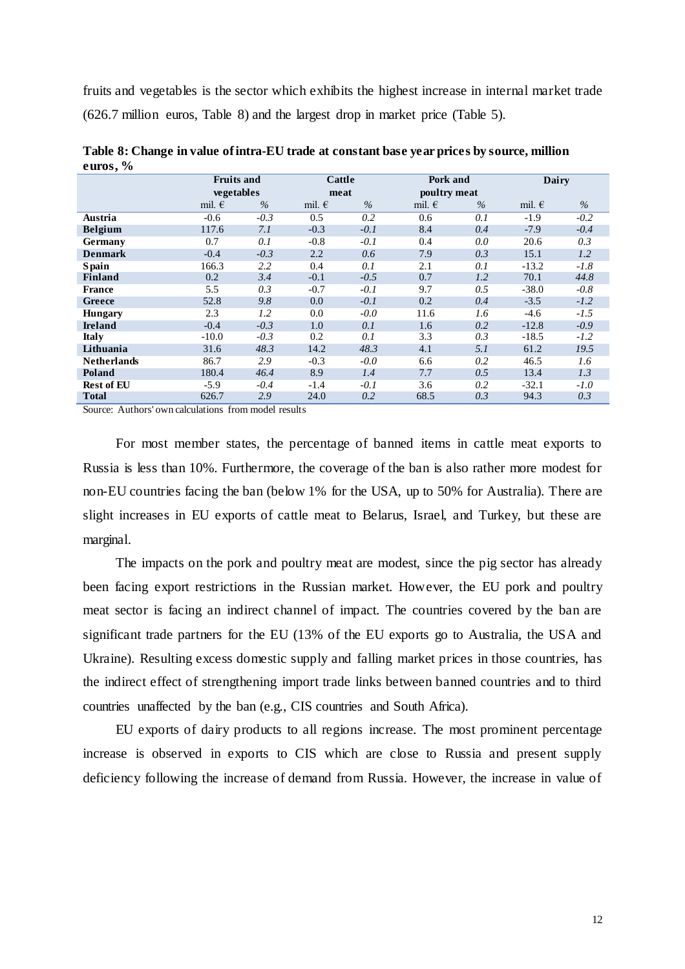fruits and vegetables is the sector which exhibits the highest increase in internal market trade (626.7 million euros, Table 8) and the largest drop in market price (Table 5).

| $\overline{\phantom{a}}$ | <b>Fruits and</b> |        |                 | Cattle |                 | Pork and     | Dairy           |        |
|--------------------------|-------------------|--------|-----------------|--------|-----------------|--------------|-----------------|--------|
|                          | vegetables        |        |                 | meat   |                 | poultry meat |                 |        |
|                          | mil. $\epsilon$   | $\%$   | mil. $\epsilon$ | $\%$   | mil. $\epsilon$ | $\%$         | mil. $\epsilon$ | $\%$   |
| Austria                  | $-0.6$            | $-0.3$ | 0.5             | 0.2    | 0.6             | 0.1          | $-1.9$          | $-0.2$ |
| <b>Belgium</b>           | 117.6             | 7.1    | $-0.3$          | $-0.1$ | 8.4             | 0.4          | $-7.9$          | $-0.4$ |
| Germany                  | 0.7               | 0.1    | $-0.8$          | $-0.1$ | 0.4             | 0.0          | 20.6            | 0.3    |
| <b>Denmark</b>           | $-0.4$            | $-0.3$ | 2.2             | 0.6    | 7.9             | 0.3          | 15.1            | 1.2    |
| <b>S</b> pain            | 166.3             | 2.2    | 0.4             | 0.1    | 2.1             | 0.1          | $-13.2$         | $-1.8$ |
| <b>Finland</b>           | 0.2               | 3.4    | $-0.1$          | $-0.5$ | 0.7             | 1.2          | 70.1            | 44.8   |
| <b>France</b>            | 5.5               | 0.3    | $-0.7$          | $-0.1$ | 9.7             | 0.5          | $-38.0$         | $-0.8$ |
| Greece                   | 52.8              | 9.8    | 0.0             | $-0.1$ | 0.2             | 0.4          | $-3.5$          | $-1.2$ |
| <b>Hungary</b>           | 2.3               | 1.2    | 0.0             | $-0.0$ | 11.6            | 1.6          | $-4.6$          | $-1.5$ |
| <b>Ireland</b>           | $-0.4$            | $-0.3$ | 1.0             | 0.1    | 1.6             | 0.2          | $-12.8$         | $-0.9$ |
| <b>Italy</b>             | $-10.0$           | $-0.3$ | 0.2             | 0.1    | 3.3             | 0.3          | $-18.5$         | $-1.2$ |
| Lithuania                | 31.6              | 48.3   | 14.2            | 48.3   | 4.1             | 5.1          | 61.2            | 19.5   |
| <b>Netherlands</b>       | 86.7              | 2.9    | $-0.3$          | $-0.0$ | 6.6             | 0.2          | 46.5            | 1.6    |
| Poland                   | 180.4             | 46.4   | 8.9             | 1.4    | 7.7             | 0.5          | 13.4            | 1.3    |
| <b>Rest of EU</b>        | $-5.9$            | $-0.4$ | $-1.4$          | $-0.1$ | 3.6             | 0.2          | $-32.1$         | $-1.0$ |
| Total                    | 626.7             | 2.9    | 24.0            | 0.2    | 68.5            | 0.3          | 94.3            | 0.3    |

**Table 8: Change in value of intra-EU trade at constant base year prices by source, million euros, %**

Source: Authors' own calculations from model results

For most member states, the percentage of banned items in cattle meat exports to Russia is less than 10%. Furthermore, the coverage of the ban is also rather more modest for non-EU countries facing the ban (below 1% for the USA, up to 50% for Australia). There are slight increases in EU exports of cattle meat to Belarus, Israel, and Turkey, but these are marginal.

The impacts on the pork and poultry meat are modest, since the pig sector has already been facing export restrictions in the Russian market. However, the EU pork and poultry meat sector is facing an indirect channel of impact. The countries covered by the ban are significant trade partners for the EU (13% of the EU exports go to Australia, the USA and Ukraine). Resulting excess domestic supply and falling market prices in those countries, has the indirect effect of strengthening import trade links between banned countries and to third countries unaffected by the ban (e.g., CIS countries and South Africa).

EU exports of dairy products to all regions increase. The most prominent percentage increase is observed in exports to CIS which are close to Russia and present supply deficiency following the increase of demand from Russia. However, the increase in value of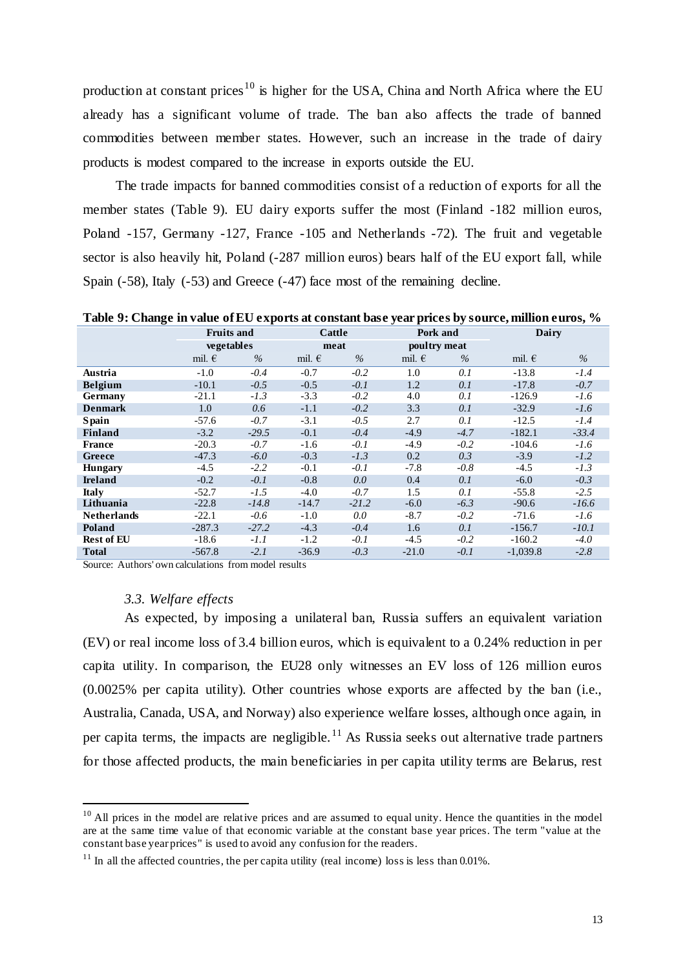production at constant prices<sup>10</sup> is higher for the USA, China and North Africa where the EU already has a significant volume of trade. The ban also affects the trade of banned commodities between member states. However, such an increase in the trade of dairy products is modest compared to the increase in exports outside the EU.

The trade impacts for banned commodities consist of a reduction of exports for all the member states (Table 9). EU dairy exports suffer the most (Finland -182 million euros, Poland -157, Germany -127, France -105 and Netherlands -72). The fruit and vegetable sector is also heavily hit, Poland (-287 million euros) bears half of the EU export fall, while Spain (-58), Italy (-53) and Greece (-47) face most of the remaining decline.

**Fruits and Cattle Pork and Dairy vegetables meat poultry meat poultry meat poultry meat**  $\theta$ mil. € *%* mil. € *%* mil. € *%* mil. € *%* **Austria** -1.0 *-0.4* -0.7 *-0.2* 1.0 *0.1* -13.8 *-1.4* **Belgium** -10.1 *-0.5* -0.5 *-0.1* 1.2 *0.1* -17.8 *-0.7* **Germany** -21.1 *-1.3* -3.3 *-0.2* 4.0 *0.1* -126.9 *-1.6* **Denmark** 1.0 *0.6* -1.1 *-0.2* 3.3 *0.1* -32.9 *-1.6* **Spain** -57.6 *-0.7* -3.1 *-0.5* 2.7 *0.1* -12.5 *-1.4* **Finland** -3.2 *-29.5* -0.1 *-0.4* -4.9 *-4.7* -182.1 *-33.4* **France** -20.3 *-0.7* -1.6 *-0.1* -4.9 *-0.2* -104.6 *-1.6* **Greece** -47.3 *-6.0* -0.3 *-1.3* 0.2 *0.3* -3.9 *-1.2* **Hungary** -4.5 *-2.2* -0.1 *-0.1* -7.8 *-0.8* -4.5 *-1.3* **Ireland** -0.2 *-0.1* -0.8 *0.0* 0.4 *0.1* -6.0 *-0.3* **Italy** -52.7 *-1.5* -4.0 *-0.7* 1.5 *0.1* -55.8 *-2.5* **Lithuania** -22.8 *-14.8* -14.7 *-21.2* -6.0 *-6.3* -90.6 *-16.6* **Netherlands** -22.1 *-0.6* -1.0 *0.0* -8.7 *-0.2* -71.6 *-1.6* **Poland** -287.3 *-27.2* -4.3 *-0.4* 1.6 *0.1* -156.7 *-10.1* **Rest of EU** -18.6 *-1.1* -1.2 *-0.1* -4.5 *-0.2* -160.2 *-4.0* **Total** -567.8 *-2.1* -36.9 *-0.3* -21.0 *-0.1* -1,039.8 *-2.8*

**Table 9: Change in value of EU exports at constant base year prices by source, million euros, %**

Source: Authors' own calculations from model results

## *3.3. Welfare effects*

 $\overline{\phantom{a}}$ 

As expected, by imposing a unilateral ban, Russia suffers an equivalent variation (EV) or real income loss of 3.4 billion euros, which is equivalent to a 0.24% reduction in per capita utility. In comparison, the EU28 only witnesses an EV loss of 126 million euros (0.0025% per capita utility). Other countries whose exports are affected by the ban (i.e., Australia, Canada, USA, and Norway) also experience welfare losses, although once again, in per capita terms, the impacts are negligible.<sup>11</sup> As Russia seeks out alternative trade partners for those affected products, the main beneficiaries in per capita utility terms are Belarus, rest

 $10$  All prices in the model are relative prices and are assumed to equal unity. Hence the quantities in the model are at the same time value of that economic variable at the constant base year prices. The term "value at the constant base year prices" is used to avoid any confusion for the readers.

 $11$  In all the affected countries, the per capita utility (real income) loss is less than 0.01%.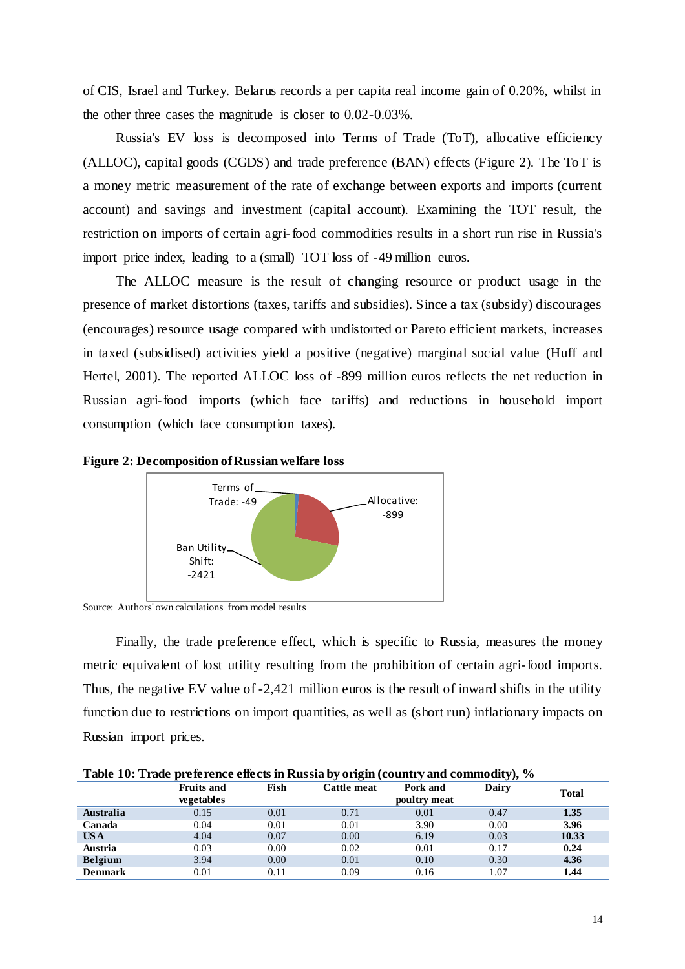of CIS, Israel and Turkey. Belarus records a per capita real income gain of 0.20%, whilst in the other three cases the magnitude is closer to 0.02-0.03%.

Russia's EV loss is decomposed into Terms of Trade (ToT), allocative efficiency (ALLOC), capital goods (CGDS) and trade preference (BAN) effects (Figure 2). The ToT is a money metric measurement of the rate of exchange between exports and imports (current account) and savings and investment (capital account). Examining the TOT result, the restriction on imports of certain agri-food commodities results in a short run rise in Russia's import price index, leading to a (small) TOT loss of -49 million euros.

The ALLOC measure is the result of changing resource or product usage in the presence of market distortions (taxes, tariffs and subsidies). Since a tax (subsidy) discourages (encourages) resource usage compared with undistorted or Pareto efficient markets, increases in taxed (subsidised) activities yield a positive (negative) marginal social value (Huff and Hertel, 2001). The reported ALLOC loss of -899 million euros reflects the net reduction in Russian agri-food imports (which face tariffs) and reductions in household import consumption (which face consumption taxes).





Source: Authors' own calculations from model results

Finally, the trade preference effect, which is specific to Russia, measures the money metric equivalent of lost utility resulting from the prohibition of certain agri-food imports. Thus, the negative EV value of -2,421 million euros is the result of inward shifts in the utility function due to restrictions on import quantities, as well as (short run) inflationary impacts on Russian import prices.

| Table TV: Trade preference enects in Kussia by Origin (Country and Commodity), 70 |                   |      |             |              |       |              |  |  |  |
|-----------------------------------------------------------------------------------|-------------------|------|-------------|--------------|-------|--------------|--|--|--|
|                                                                                   | <b>Fruits and</b> | Fish | Cattle meat | Pork and     | Dairy | <b>Total</b> |  |  |  |
|                                                                                   | vegetables        |      |             | poultry meat |       |              |  |  |  |
| Australia                                                                         | 0.15              | 0.01 | 0.71        | 0.01         | 0.47  | 1.35         |  |  |  |
| Canada                                                                            | 0.04              | 0.01 | 0.01        | 3.90         | 0.00  | 3.96         |  |  |  |
| <b>USA</b>                                                                        | 4.04              | 0.07 | 0.00        | 6.19         | 0.03  | 10.33        |  |  |  |
| Austria                                                                           | 0.03              | 0.00 | 0.02        | 0.01         | 0.17  | 0.24         |  |  |  |
| <b>Belgium</b>                                                                    | 3.94              | 0.00 | 0.01        | 0.10         | 0.30  | 4.36         |  |  |  |
| <b>Denmark</b>                                                                    | 0.01              | 0.11 | 0.09        | 0.16         | 1.07  | 1.44         |  |  |  |

**Table 10: Trade preference effects in Russia by origin (country and commodity), %**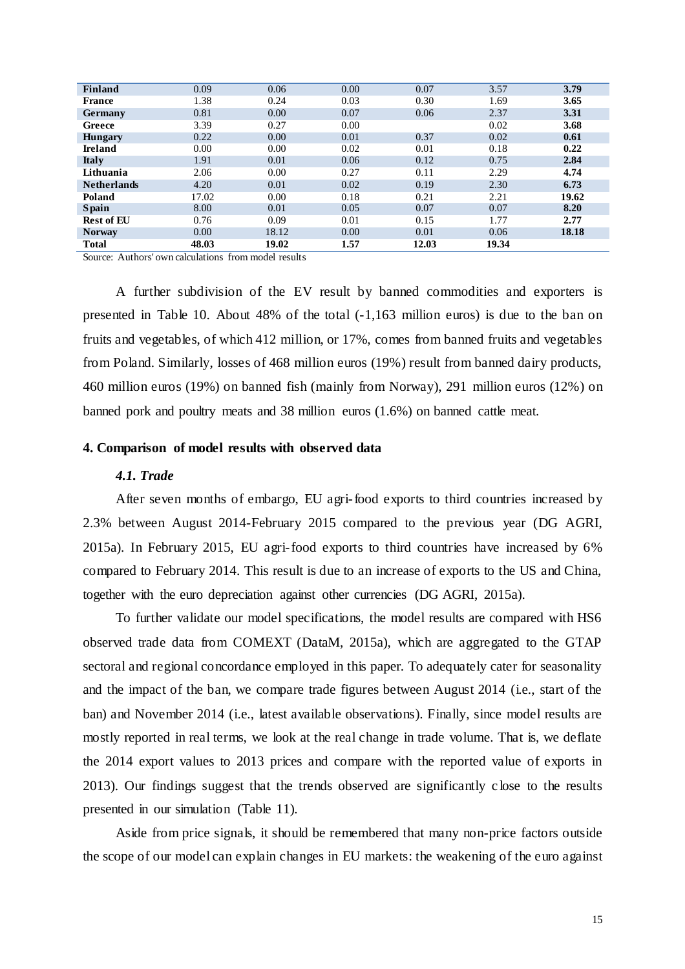| <b>Finland</b>     | 0.09  | 0.06  | 0.00 | 0.07  | 3.57  | 3.79  |
|--------------------|-------|-------|------|-------|-------|-------|
| <b>France</b>      | 1.38  | 0.24  | 0.03 | 0.30  | 1.69  | 3.65  |
| <b>Germany</b>     | 0.81  | 0.00  | 0.07 | 0.06  | 2.37  | 3.31  |
| Greece             | 3.39  | 0.27  | 0.00 |       | 0.02  | 3.68  |
| <b>Hungary</b>     | 0.22  | 0.00  | 0.01 | 0.37  | 0.02  | 0.61  |
| Ireland            | 0.00  | 0.00  | 0.02 | 0.01  | 0.18  | 0.22  |
| <b>Italy</b>       | 1.91  | 0.01  | 0.06 | 0.12  | 0.75  | 2.84  |
| Lithuania          | 2.06  | 0.00  | 0.27 | 0.11  | 2.29  | 4.74  |
| <b>Netherlands</b> | 4.20  | 0.01  | 0.02 | 0.19  | 2.30  | 6.73  |
| Poland             | 17.02 | 0.00  | 0.18 | 0.21  | 2.21  | 19.62 |
| <b>Spain</b>       | 8.00  | 0.01  | 0.05 | 0.07  | 0.07  | 8.20  |
| <b>Rest of EU</b>  | 0.76  | 0.09  | 0.01 | 0.15  | 1.77  | 2.77  |
| <b>Norway</b>      | 0.00  | 18.12 | 0.00 | 0.01  | 0.06  | 18.18 |
| <b>Total</b>       | 48.03 | 19.02 | 1.57 | 12.03 | 19.34 |       |

Source: Authors' own calculations from model results

A further subdivision of the EV result by banned commodities and exporters is presented in Table 10. About 48% of the total (-1,163 million euros) is due to the ban on fruits and vegetables, of which 412 million, or 17%, comes from banned fruits and vegetables from Poland. Similarly, losses of 468 million euros (19%) result from banned dairy products, 460 million euros (19%) on banned fish (mainly from Norway), 291 million euros (12%) on banned pork and poultry meats and 38 million euros (1.6%) on banned cattle meat.

## **4. Comparison of model results with observed data**

## *4.1. Trade*

After seven months of embargo, EU agri-food exports to third countries increased by 2.3% between August 2014-February 2015 compared to the previous year (DG AGRI, 2015a). In February 2015, EU agri-food exports to third countries have increased by 6% compared to February 2014. This result is due to an increase of exports to the US and China, together with the euro depreciation against other currencies (DG AGRI, 2015a).

To further validate our model specifications, the model results are compared with HS6 observed trade data from COMEXT (DataM, 2015a), which are aggregated to the GTAP sectoral and regional concordance employed in this paper. To adequately cater for seasonality and the impact of the ban, we compare trade figures between August 2014 (i.e., start of the ban) and November 2014 (i.e., latest available observations). Finally, since model results are mostly reported in real terms, we look at the real change in trade volume. That is, we deflate the 2014 export values to 2013 prices and compare with the reported value of exports in 2013). Our findings suggest that the trends observed are significantly c lose to the results presented in our simulation (Table 11).

Aside from price signals, it should be remembered that many non-price factors outside the scope of our model can explain changes in EU markets: the weakening of the euro against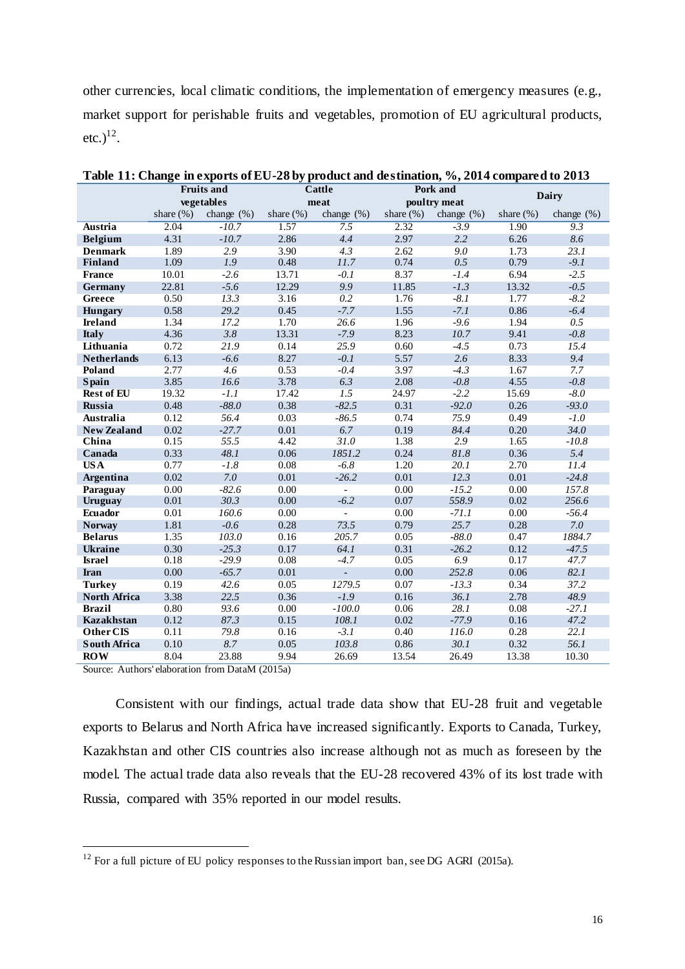other currencies, local climatic conditions, the implementation of emergency measures (e.g., market support for perishable fruits and vegetables, promotion of EU agricultural products,  $etc.)^{12}.$ 

|                     | <b>Fruits and</b> |               |              | Cattle                   |              | Pork and      | Dairy        |               |
|---------------------|-------------------|---------------|--------------|--------------------------|--------------|---------------|--------------|---------------|
|                     |                   | vegetables    |              | meat                     |              | poultry meat  |              |               |
|                     | share $(\%)$      | change $(\%)$ | share $(\%)$ | change $(\%)$            | share $(\%)$ | change $(\%)$ | share $(\%)$ | change $(\%)$ |
| Austria             | 2.04              | $-10.7$       | 1.57         | 7.5                      | 2.32         | $-3.9$        | 1.90         | 9.3           |
| <b>Belgium</b>      | 4.31              | $-10.7$       | 2.86         | 4.4                      | 2.97         | 2.2           | 6.26         | 8.6           |
| <b>Denmark</b>      | 1.89              | 2.9           | 3.90         | 4.3                      | 2.62         | 9.0           | 1.73         | 23.1          |
| <b>Finland</b>      | 1.09              | 1.9           | 0.48         | 11.7                     | 0.74         | 0.5           | 0.79         | $-9.1$        |
| <b>France</b>       | 10.01             | $-2.6$        | 13.71        | $-0.1$                   | 8.37         | $-1.4$        | 6.94         | $-2.5$        |
| Germany             | 22.81             | $-5.6$        | 12.29        | 9.9                      | 11.85        | $-1.3$        | 13.32        | $-0.5$        |
| Greece              | 0.50              | 13.3          | 3.16         | 0.2                      | 1.76         | $-8.1$        | 1.77         | $-8.2$        |
| Hungary             | 0.58              | 29.2          | 0.45         | $-7.7$                   | 1.55         | $-7.1$        | 0.86         | $-6.4$        |
| <b>Ireland</b>      | 1.34              | 17.2          | 1.70         | 26.6                     | 1.96         | $-9.6$        | 1.94         | 0.5           |
| <b>Italy</b>        | 4.36              | 3.8           | 13.31        | $-7.9$                   | 8.23         | 10.7          | 9.41         | $-0.8$        |
| Lithuania           | 0.72              | 21.9          | 0.14         | 25.9                     | 0.60         | $-4.5$        | 0.73         | 15.4          |
| <b>Netherlands</b>  | 6.13              | $-6.6$        | 8.27         | $-0.1$                   | 5.57         | 2.6           | 8.33         | 9.4           |
| Poland              | 2.77              | 4.6           | 0.53         | $-0.4$                   | 3.97         | $-4.3$        | 1.67         | 7.7           |
| <b>Spain</b>        | 3.85              | 16.6          | 3.78         | 6.3                      | 2.08         | $-0.8$        | 4.55         | $-0.8$        |
| <b>Rest of EU</b>   | 19.32             | $-1.1$        | 17.42        | 1.5                      | 24.97        | $-2.2$        | 15.69        | $-8.0$        |
| <b>Russia</b>       | 0.48              | $-88.0$       | 0.38         | $-82.5$                  | 0.31         | $-92.0$       | 0.26         | $-93.0$       |
| <b>Australia</b>    | 0.12              | 56.4          | 0.03         | $-86.5$                  | 0.74         | 75.9          | 0.49         | $-1.0$        |
| <b>New Zealand</b>  | 0.02              | $-27.7$       | 0.01         | 6.7                      | 0.19         | 84.4          | 0.20         | 34.0          |
| China               | 0.15              | 55.5          | 4.42         | 31.0                     | 1.38         | 2.9           | 1.65         | $-10.8$       |
| Canada              | 0.33              | 48.1          | 0.06         | 1851.2                   | 0.24         | $81.8$        | 0.36         | 5.4           |
| <b>USA</b>          | 0.77              | $-1.8$        | 0.08         | $-6.8$                   | 1.20         | 20.1          | 2.70         | 11.4          |
| <b>Argentina</b>    | 0.02              | 7.0           | 0.01         | $-26.2$                  | 0.01         | 12.3          | 0.01         | $-24.8$       |
| Paraguay            | 0.00              | $-82.6$       | 0.00         | $\mathbb{Z}^2$           | 0.00         | $-15.2$       | 0.00         | 157.8         |
| Uruguay             | 0.01              | 30.3          | 0.00         | $-6.2$                   | 0.07         | 558.9         | 0.02         | 256.6         |
| <b>Ecuador</b>      | 0.01              | 160.6         | 0.00         | ÷.                       | 0.00         | $-71.1$       | 0.00         | $-56.4$       |
| <b>Norway</b>       | 1.81              | $-0.6$        | 0.28         | 73.5                     | 0.79         | 25.7          | 0.28         | 7.0           |
| <b>Belarus</b>      | 1.35              | 103.0         | 0.16         | 205.7                    | 0.05         | $-88.0$       | 0.47         | 1884.7        |
| Ukraine             | 0.30              | $-25.3$       | 0.17         | 64.1                     | 0.31         | $-26.2$       | 0.12         | $-47.5$       |
| <b>Israel</b>       | 0.18              | $-29.9$       | 0.08         | $-4.7$                   | 0.05         | 6.9           | 0.17         | 47.7          |
| Iran                | 0.00              | $-65.7$       | 0.01         | $\overline{\phantom{a}}$ | 0.00         | 252.8         | 0.06         | 82.1          |
| <b>Turkey</b>       | 0.19              | 42.6          | 0.05         | 1279.5                   | 0.07         | $-13.3$       | 0.34         | 37.2          |
| <b>North Africa</b> | 3.38              | 22.5          | 0.36         | $-1.9$                   | 0.16         | 36.1          | 2.78         | 48.9          |
| <b>Brazil</b>       | 0.80              | 93.6          | 0.00         | $-100.0$                 | 0.06         | 28.1          | 0.08         | $-27.1$       |
| <b>Kazakhstan</b>   | 0.12              | 87.3          | 0.15         | 108.1                    | 0.02         | $-77.9$       | 0.16         | 47.2          |
| Other CIS           | 0.11              | 79.8          | 0.16         | $-3.1$                   | 0.40         | 116.0         | 0.28         | 22.1          |
| <b>South Africa</b> | 0.10              | 8.7           | 0.05         | 103.8                    | 0.86         | 30.1          | 0.32         | 56.1          |
| <b>ROW</b>          | 8.04              | 23.88         | 9.94         | 26.69                    | 13.54        | 26.49         | 13.38        | 10.30         |

**Table 11: Change in exports of EU-28 by product and destination, %, 2014 compared to 2013**

Source: Authors' elaboration from DataM (2015a)

 $\overline{\phantom{a}}$ 

Consistent with our findings, actual trade data show that EU-28 fruit and vegetable exports to Belarus and North Africa have increased significantly. Exports to Canada, Turkey, Kazakhstan and other CIS countries also increase although not as much as foreseen by the model. The actual trade data also reveals that the EU-28 recovered 43% of its lost trade with Russia, compared with 35% reported in our model results.

 $12$  For a full picture of EU policy responses to the Russian import ban, see DG AGRI (2015a).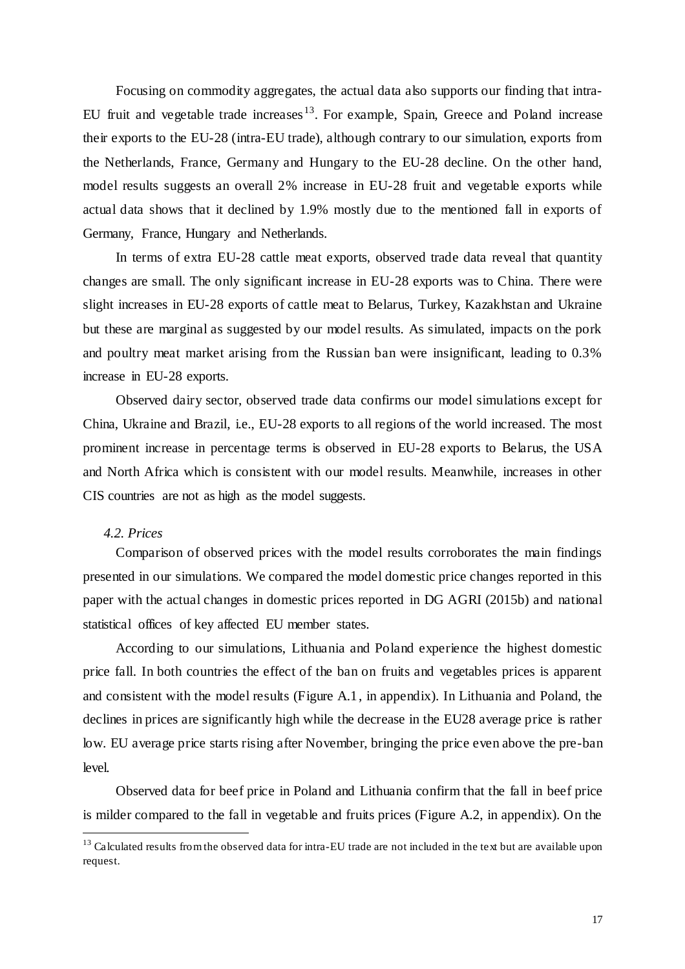Focusing on commodity aggregates, the actual data also supports our finding that intra-EU fruit and vegetable trade increases<sup>13</sup>. For example, Spain, Greece and Poland increase their exports to the EU-28 (intra-EU trade), although contrary to our simulation, exports from the Netherlands, France, Germany and Hungary to the EU-28 decline. On the other hand, model results suggests an overall 2% increase in EU-28 fruit and vegetable exports while actual data shows that it declined by 1.9% mostly due to the mentioned fall in exports of Germany, France, Hungary and Netherlands.

In terms of extra EU-28 cattle meat exports, observed trade data reveal that quantity changes are small. The only significant increase in EU-28 exports was to China. There were slight increases in EU-28 exports of cattle meat to Belarus, Turkey, Kazakhstan and Ukraine but these are marginal as suggested by our model results. As simulated, impacts on the pork and poultry meat market arising from the Russian ban were insignificant, leading to 0.3% increase in EU-28 exports.

Observed dairy sector, observed trade data confirms our model simulations except for China, Ukraine and Brazil, i.e., EU-28 exports to all regions of the world increased. The most prominent increase in percentage terms is observed in EU-28 exports to Belarus, the USA and North Africa which is consistent with our model results. Meanwhile, increases in other CIS countries are not as high as the model suggests.

## *4.2. Prices*

 $\overline{\phantom{a}}$ 

Comparison of observed prices with the model results corroborates the main findings presented in our simulations. We compared the model domestic price changes reported in this paper with the actual changes in domestic prices reported in DG AGRI (2015b) and national statistical offices of key affected EU member states.

According to our simulations, Lithuania and Poland experience the highest domestic price fall. In both countries the effect of the ban on fruits and vegetables prices is apparent and consistent with the model results (Figure A.1, in appendix). In Lithuania and Poland, the declines in prices are significantly high while the decrease in the EU28 average price is rather low. EU average price starts rising after November, bringing the price even above the pre-ban level.

Observed data for beef price in Poland and Lithuania confirm that the fall in beef price is milder compared to the fall in vegetable and fruits prices (Figure A.2, in appendix). On the

<sup>&</sup>lt;sup>13</sup> Calculated results from the observed data for intra-EU trade are not included in the text but are available upon request.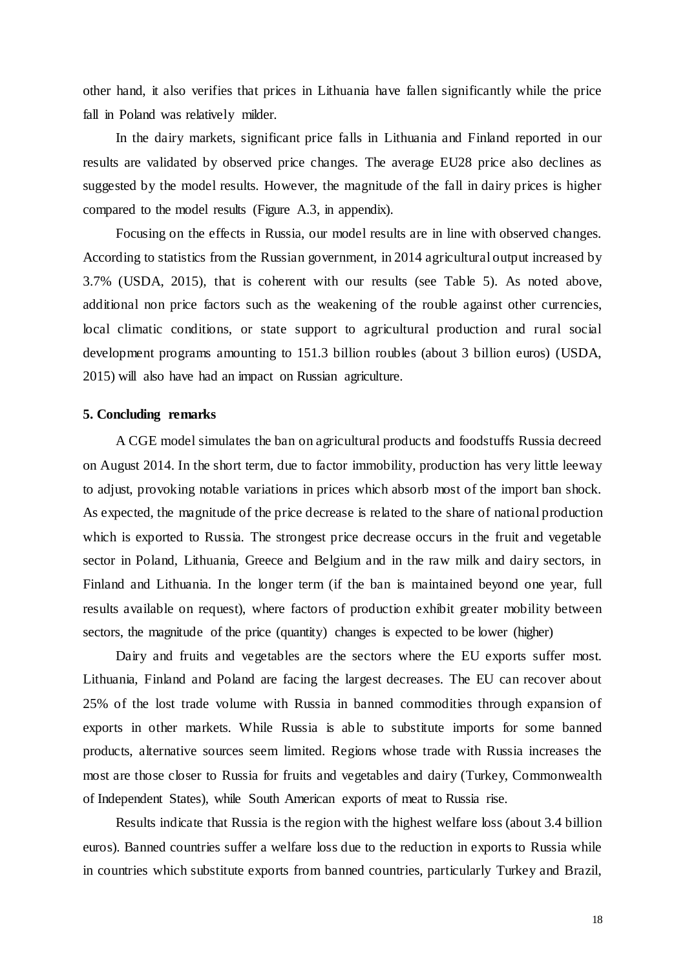other hand, it also verifies that prices in Lithuania have fallen significantly while the price fall in Poland was relatively milder.

In the dairy markets, significant price falls in Lithuania and Finland reported in our results are validated by observed price changes. The average EU28 price also declines as suggested by the model results. However, the magnitude of the fall in dairy prices is higher compared to the model results (Figure A.3, in appendix).

Focusing on the effects in Russia, our model results are in line with observed changes. According to statistics from the Russian government, in 2014 agricultural output increased by 3.7% (USDA, 2015), that is coherent with our results (see Table 5). As noted above, additional non price factors such as the weakening of the rouble against other currencies, local climatic conditions, or state support to agricultural production and rural social development programs amounting to 151.3 billion roubles (about 3 billion euros) (USDA, 2015) will also have had an impact on Russian agriculture.

### **5. Concluding remarks**

A CGE model simulates the ban on agricultural products and foodstuffs Russia decreed on August 2014. In the short term, due to factor immobility, production has very little leeway to adjust, provoking notable variations in prices which absorb most of the import ban shock. As expected, the magnitude of the price decrease is related to the share of national production which is exported to Russia. The strongest price decrease occurs in the fruit and vegetable sector in Poland, Lithuania, Greece and Belgium and in the raw milk and dairy sectors, in Finland and Lithuania. In the longer term (if the ban is maintained beyond one year, full results available on request), where factors of production exhibit greater mobility between sectors, the magnitude of the price (quantity) changes is expected to be lower (higher)

Dairy and fruits and vegetables are the sectors where the EU exports suffer most. Lithuania, Finland and Poland are facing the largest decreases. The EU can recover about 25% of the lost trade volume with Russia in banned commodities through expansion of exports in other markets. While Russia is able to substitute imports for some banned products, alternative sources seem limited. Regions whose trade with Russia increases the most are those closer to Russia for fruits and vegetables and dairy (Turkey, Commonwealth of Independent States), while South American exports of meat to Russia rise.

Results indicate that Russia is the region with the highest welfare loss (about 3.4 billion euros). Banned countries suffer a welfare loss due to the reduction in exports to Russia while in countries which substitute exports from banned countries, particularly Turkey and Brazil,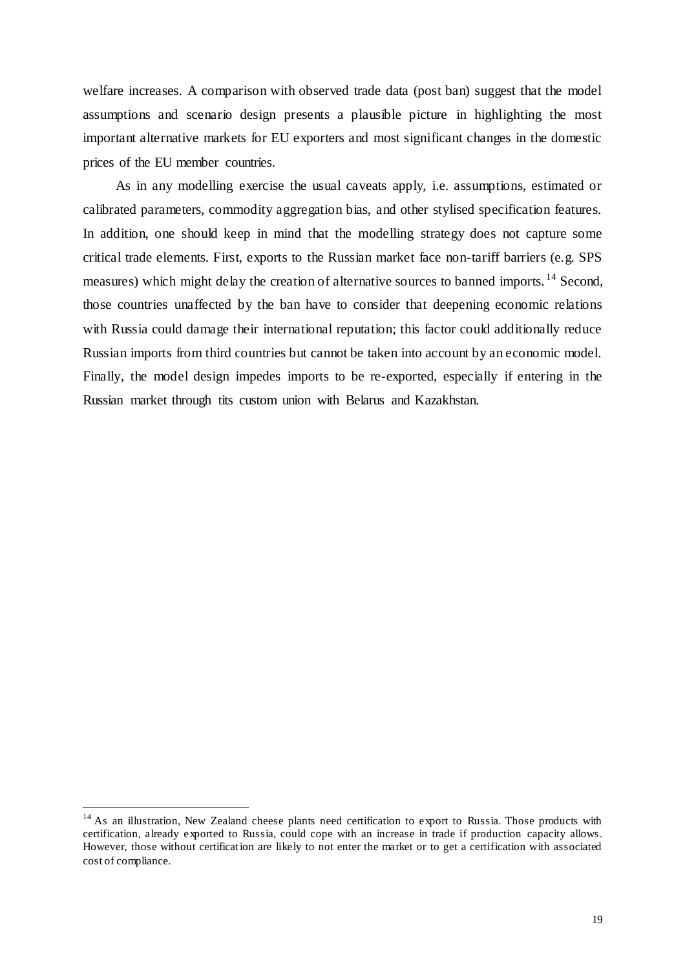welfare increases. A comparison with observed trade data (post ban) suggest that the model assumptions and scenario design presents a plausible picture in highlighting the most important alternative markets for EU exporters and most significant changes in the domestic prices of the EU member countries.

As in any modelling exercise the usual caveats apply, i.e. assumptions, estimated or calibrated parameters, commodity aggregation bias, and other stylised specification features. In addition, one should keep in mind that the modelling strategy does not capture some critical trade elements. First, exports to the Russian market face non-tariff barriers (e.g. SPS measures) which might delay the creation of alternative sources to banned imports.  $^{14}$  Second, those countries unaffected by the ban have to consider that deepening economic relations with Russia could damage their international reputation; this factor could additionally reduce Russian imports from third countries but cannot be taken into account by an economic model. Finally, the model design impedes imports to be re-exported, especially if entering in the Russian market through tits custom union with Belarus and Kazakhstan.

 $\overline{\phantom{a}}$ 

<sup>&</sup>lt;sup>14</sup> As an illustration, New Zealand cheese plants need certification to export to Russia. Those products with certification, already exported to Russia, could cope with an increase in trade if production capacity allows. However, those without certification are likely to not enter the market or to get a certification with associated cost of compliance.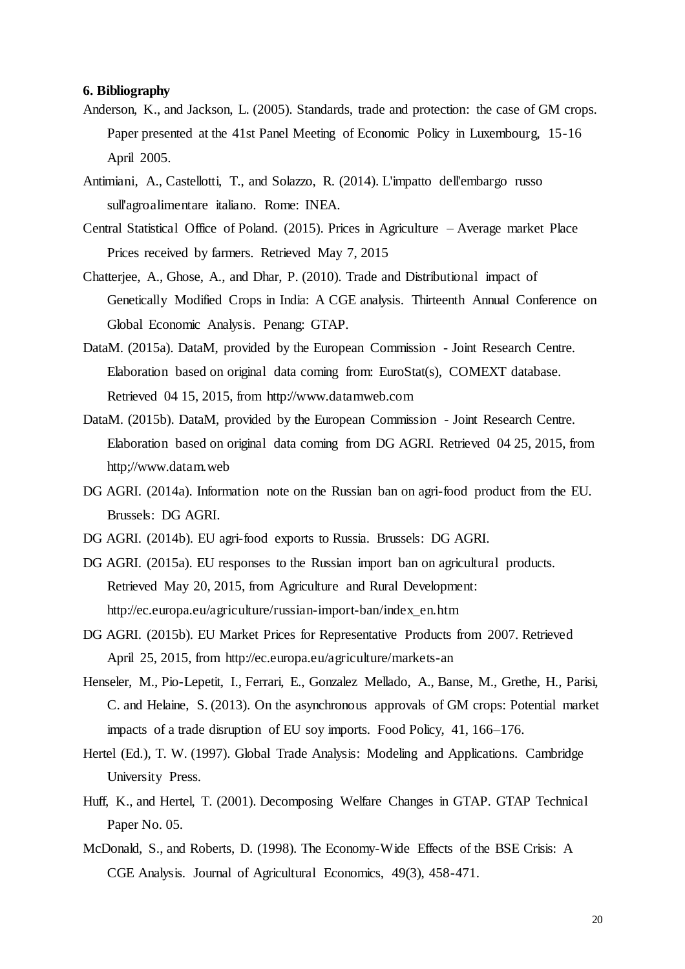### **6. Bibliography**

- Anderson, K., and Jackson, L. (2005). Standards, trade and protection: the case of GM crops. Paper presented at the 41st Panel Meeting of Economic Policy in Luxembourg, 15-16 April 2005.
- Antimiani, A., Castellotti, T., and Solazzo, R. (2014). L'impatto dell'embargo russo sull'agroalimentare italiano. Rome: INEA.
- Central Statistical Office of Poland. (2015). Prices in Agriculture Average market Place Prices received by farmers. Retrieved May 7, 2015
- Chatterjee, A., Ghose, A., and Dhar, P. (2010). Trade and Distributional impact of Genetically Modified Crops in India: A CGE analysis. Thirteenth Annual Conference on Global Economic Analysis. Penang: GTAP.
- DataM. (2015a). DataM, provided by the European Commission Joint Research Centre. Elaboration based on original data coming from: EuroStat(s), COMEXT database. Retrieved 04 15, 2015, from http://www.datamweb.com
- DataM. (2015b). DataM, provided by the European Commission Joint Research Centre. Elaboration based on original data coming from DG AGRI. Retrieved 04 25, 2015, from http;//www.datam.web
- DG AGRI. (2014a). Information note on the Russian ban on agri-food product from the EU. Brussels: DG AGRI.
- DG AGRI. (2014b). EU agri-food exports to Russia. Brussels: DG AGRI.
- DG AGRI. (2015a). EU responses to the Russian import ban on agricultural products. Retrieved May 20, 2015, from Agriculture and Rural Development: http://ec.europa.eu/agriculture/russian-import-ban/index\_en.htm
- DG AGRI. (2015b). EU Market Prices for Representative Products from 2007. Retrieved April 25, 2015, from http://ec.europa.eu/agriculture/markets-an
- Henseler, M., Pio-Lepetit, I., Ferrari, E., Gonzalez Mellado, A., Banse, M., Grethe, H., Parisi, C. and Helaine, S. (2013). On the asynchronous approvals of GM crops: Potential market impacts of a trade disruption of EU soy imports. Food Policy, 41, 166–176.
- Hertel (Ed.), T. W. (1997). Global Trade Analysis: Modeling and Applications. Cambridge University Press.
- Huff, K., and Hertel, T. (2001). Decomposing Welfare Changes in GTAP. GTAP Technical Paper No. 05.
- McDonald, S., and Roberts, D. (1998). The Economy-Wide Effects of the BSE Crisis: A CGE Analysis. Journal of Agricultural Economics, 49(3), 458-471.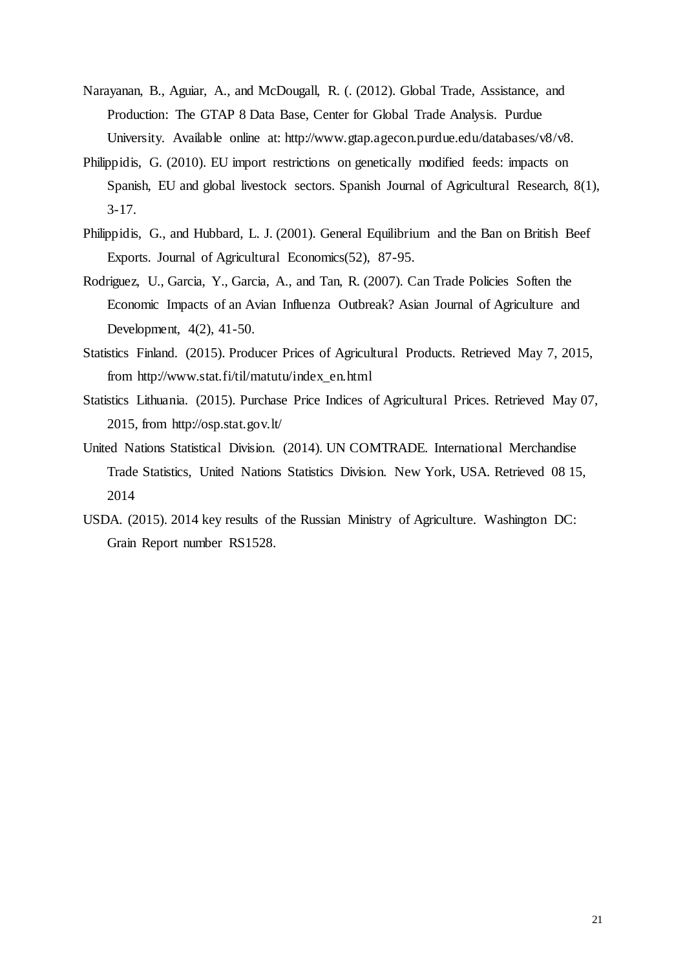- Narayanan, B., Aguiar, A., and McDougall, R. (. (2012). Global Trade, Assistance, and Production: The GTAP 8 Data Base, Center for Global Trade Analysis. Purdue University. Available online at: http://www.gtap.agecon.purdue.edu/databases/v8/v8.
- Philippidis, G. (2010). EU import restrictions on genetically modified feeds: impacts on Spanish, EU and global livestock sectors. Spanish Journal of Agricultural Research, 8(1), 3-17.
- Philippidis, G., and Hubbard, L. J. (2001). General Equilibrium and the Ban on British Beef Exports. Journal of Agricultural Economics(52), 87-95.
- Rodriguez, U., Garcia, Y., Garcia, A., and Tan, R. (2007). Can Trade Policies Soften the Economic Impacts of an Avian Influenza Outbreak? Asian Journal of Agriculture and Development, 4(2), 41-50.
- Statistics Finland. (2015). Producer Prices of Agricultural Products. Retrieved May 7, 2015, from http://www.stat.fi/til/matutu/index\_en.html
- Statistics Lithuania. (2015). Purchase Price Indices of Agricultural Prices. Retrieved May 07, 2015, from http://osp.stat.gov.lt/
- United Nations Statistical Division. (2014). UN COMTRADE. International Merchandise Trade Statistics, United Nations Statistics Division. New York, USA. Retrieved 08 15, 2014
- USDA. (2015). 2014 key results of the Russian Ministry of Agriculture. Washington DC: Grain Report number RS1528.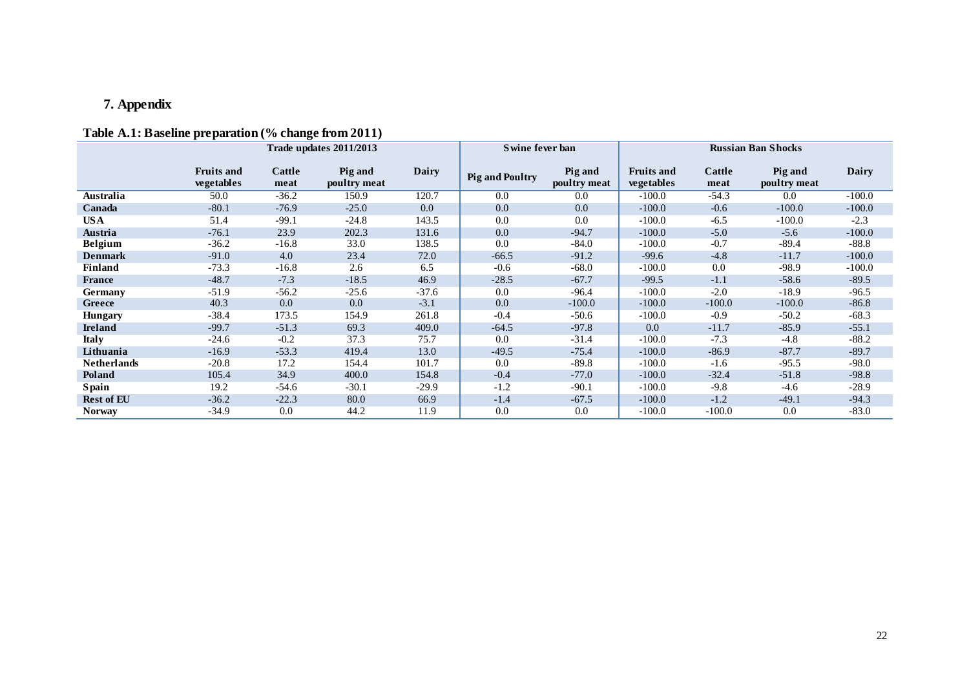# **7. Appendix**

# **Table A.1: Baseline preparation (% change from 2011)**

<span id="page-21-0"></span>

|                    | Trade updates 2011/2013         |                |                         |              | Swine fever ban        |                         | <b>Russian Ban Shocks</b>              |                |                         |          |
|--------------------|---------------------------------|----------------|-------------------------|--------------|------------------------|-------------------------|----------------------------------------|----------------|-------------------------|----------|
|                    | <b>Fruits and</b><br>vegetables | Cattle<br>meat | Pig and<br>poultry meat | <b>Dairy</b> | <b>Pig and Poultry</b> | Pig and<br>poultry meat | <b>Fruits and</b><br><b>vegetables</b> | Cattle<br>meat | Pig and<br>poultry meat | Dairy    |
| Australia          | 50.0                            | $-36.2$        | 150.9                   | 120.7        | 0.0                    | 0.0                     | $-100.0$                               | $-54.3$        | 0.0                     | $-100.0$ |
| Canada             | $-80.1$                         | $-76.9$        | $-25.0$                 | 0.0          | 0.0                    | 0.0                     | $-100.0$                               | $-0.6$         | $-100.0$                | $-100.0$ |
| US A               | 51.4                            | $-99.1$        | $-24.8$                 | 143.5        | 0.0                    | 0.0                     | $-100.0$                               | $-6.5$         | $-100.0$                | $-2.3$   |
| Austria            | $-76.1$                         | 23.9           | 202.3                   | 131.6        | 0.0                    | $-94.7$                 | $-100.0$                               | $-5.0$         | $-5.6$                  | $-100.0$ |
| <b>Belgium</b>     | $-36.2$                         | $-16.8$        | 33.0                    | 138.5        | 0.0                    | $-84.0$                 | $-100.0$                               | $-0.7$         | $-89.4$                 | $-88.8$  |
| <b>Denmark</b>     | $-91.0$                         | 4.0            | 23.4                    | 72.0         | $-66.5$                | $-91.2$                 | $-99.6$                                | $-4.8$         | $-11.7$                 | $-100.0$ |
| Finland            | $-73.3$                         | $-16.8$        | 2.6                     | 6.5          | $-0.6$                 | $-68.0$                 | $-100.0$                               | 0.0            | $-98.9$                 | $-100.0$ |
| France             | $-48.7$                         | $-7.3$         | $-18.5$                 | 46.9         | $-28.5$                | $-67.7$                 | $-99.5$                                | $-1.1$         | $-58.6$                 | $-89.5$  |
| Germany            | $-51.9$                         | $-56.2$        | $-25.6$                 | $-37.6$      | 0.0                    | $-96.4$                 | $-100.0$                               | $-2.0$         | $-18.9$                 | $-96.5$  |
| Greece             | 40.3                            | 0.0            | 0.0                     | $-3.1$       | 0.0                    | $-100.0$                | $-100.0$                               | $-100.0$       | $-100.0$                | $-86.8$  |
| <b>Hungary</b>     | $-38.4$                         | 173.5          | 154.9                   | 261.8        | $-0.4$                 | $-50.6$                 | $-100.0$                               | $-0.9$         | $-50.2$                 | $-68.3$  |
| <b>Ireland</b>     | $-99.7$                         | $-51.3$        | 69.3                    | 409.0        | $-64.5$                | $-97.8$                 | 0.0                                    | $-11.7$        | $-85.9$                 | $-55.1$  |
| <b>Italy</b>       | $-24.6$                         | $-0.2$         | 37.3                    | 75.7         | 0.0                    | $-31.4$                 | $-100.0$                               | $-7.3$         | $-4.8$                  | $-88.2$  |
| Lithuania          | $-16.9$                         | $-53.3$        | 419.4                   | 13.0         | $-49.5$                | $-75.4$                 | $-100.0$                               | $-86.9$        | $-87.7$                 | $-89.7$  |
| <b>Netherlands</b> | $-20.8$                         | 17.2           | 154.4                   | 101.7        | 0.0                    | $-89.8$                 | $-100.0$                               | $-1.6$         | $-95.5$                 | $-98.0$  |
| Poland             | 105.4                           | 34.9           | 400.0                   | 154.8        | $-0.4$                 | $-77.0$                 | $-100.0$                               | $-32.4$        | $-51.8$                 | $-98.8$  |
| Spain              | 19.2                            | $-54.6$        | $-30.1$                 | $-29.9$      | $-1.2$                 | $-90.1$                 | $-100.0$                               | $-9.8$         | $-4.6$                  | $-28.9$  |
| <b>Rest of EU</b>  | $-36.2$                         | $-22.3$        | 80.0                    | 66.9         | $-1.4$                 | $-67.5$                 | $-100.0$                               | $-1.2$         | $-49.1$                 | $-94.3$  |
| <b>Norway</b>      | $-34.9$                         | 0.0            | 44.2                    | 11.9         | 0.0                    | 0.0                     | $-100.0$                               | $-100.0$       | 0.0                     | $-83.0$  |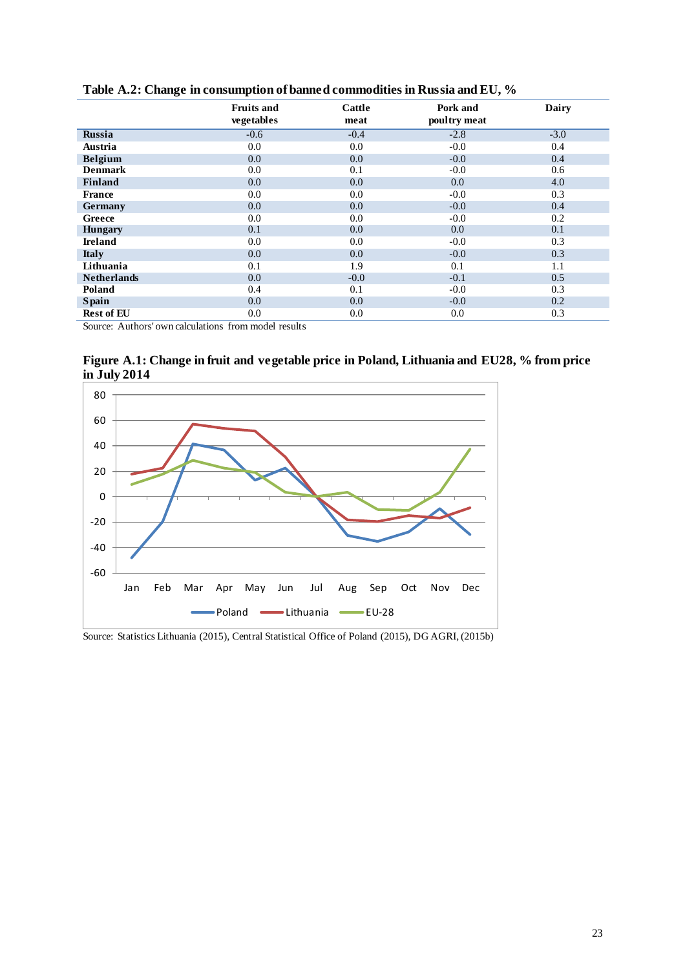|                    | <b>Fruits and</b><br>vegetables | Cattle<br>meat | Pork and<br>poultry meat | Dairy  |
|--------------------|---------------------------------|----------------|--------------------------|--------|
| <b>Russia</b>      | $-0.6$                          | $-0.4$         | $-2.8$                   | $-3.0$ |
| Austria            | 0.0                             | 0.0            | $-0.0$                   | 0.4    |
| <b>Belgium</b>     | 0.0                             | 0.0            | $-0.0$                   | 0.4    |
| <b>Denmark</b>     | 0.0                             | 0.1            | $-0.0$                   | 0.6    |
| Finland            | 0.0                             | 0.0            | 0.0                      | 4.0    |
| <b>France</b>      | 0.0                             | $0.0\,$        | $-0.0$                   | 0.3    |
| Germany            | 0.0                             | $0.0\,$        | $-0.0$                   | 0.4    |
| Greece             | 0.0                             | $0.0\,$        | $-0.0$                   | 0.2    |
| <b>Hungary</b>     | 0.1                             | $0.0\,$        | 0.0                      | 0.1    |
| <b>Ireland</b>     | 0.0                             | $0.0\,$        | $-0.0$                   | 0.3    |
| <b>Italy</b>       | 0.0                             | $0.0\,$        | $-0.0$                   | 0.3    |
| Lithuania          | 0.1                             | 1.9            | 0.1                      | 1.1    |
| <b>Netherlands</b> | 0.0                             | $-0.0$         | $-0.1$                   | 0.5    |
| Poland             | 0.4                             | 0.1            | $-0.0$                   | 0.3    |
| <b>Spain</b>       | 0.0                             | 0.0            | $-0.0$                   | 0.2    |
| <b>Rest of EU</b>  | 0.0                             | 0.0            | 0.0                      | 0.3    |

**Table A.2: Change in consumption of banned commodities in Russia and EU, %**

Source: Authors' own calculations from model results

**Figure A.1: Change in fruit and vegetable price in Poland, Lithuania and EU28, % from price in July 2014**



Source: Statistics Lithuania (2015), Central Statistical Office of Poland (2015), DG AGRI, (2015b)